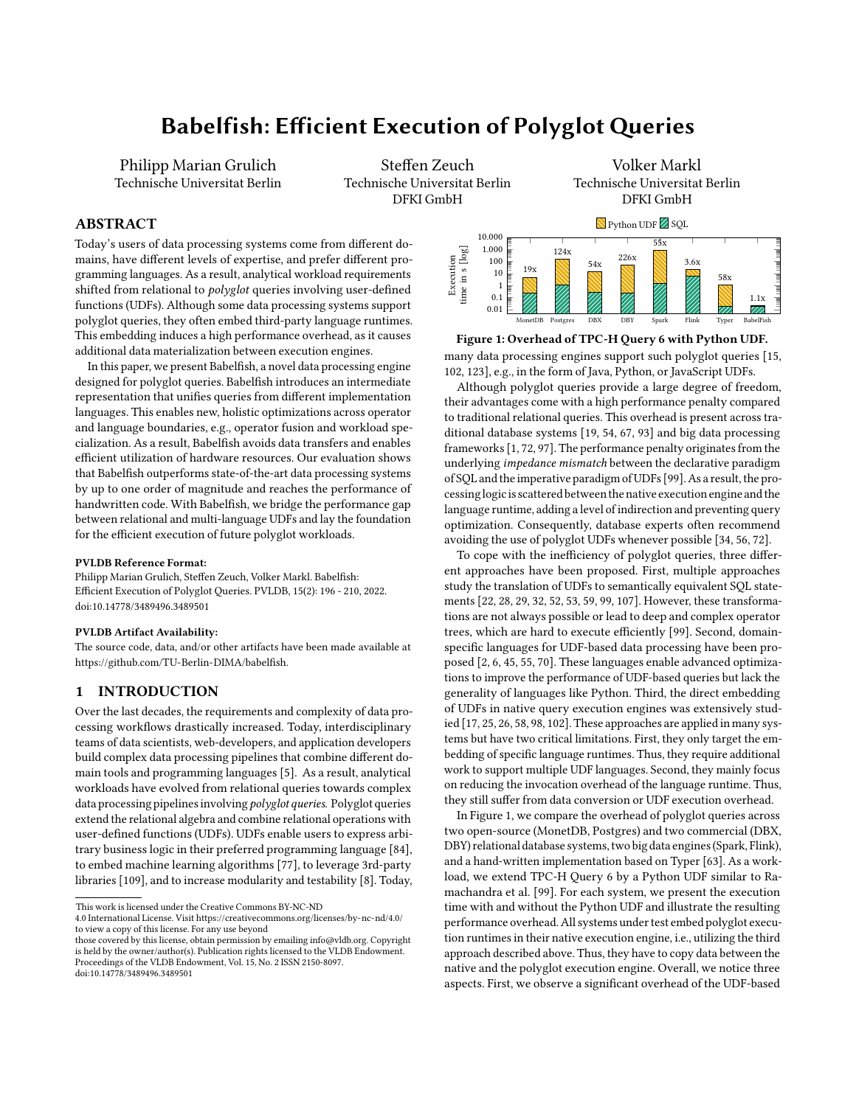# Babelfish: Efficient Execution of PolyglotQueries

Philipp Marian Grulich Technische Universitat Berlin

Steffen Zeuch Technische Universitat Berlin DFKI GmbH

Volker Markl Technische Universitat Berlin DFKI GmbH

# ABSTRACT

Today's users of data processing systems come from different domains, have different levels of expertise, and prefer different programming languages. As a result, analytical workload requirements shifted from relational to *polyglot* queries involving user-defined functions (UDFs). Although some data processing systems support polyglot queries, they often embed third-party language runtimes. This embedding induces a high performance overhead, as it causes additional data materialization between execution engines.

In this paper, we present Babelfish, a novel data processing engine designed for polyglot queries. Babelfish introduces an intermediate representation that unifies queries from different implementation languages. This enables new, holistic optimizations across operator and language boundaries, e.g., operator fusion and workload specialization. As a result, Babelfish avoids data transfers and enables efficient utilization of hardware resources. Our evaluation shows that Babelfish outperforms state-of-the-art data processing systems by up to one order of magnitude and reaches the performance of handwritten code. With Babelfish, we bridge the performance gap between relational and multi-language UDFs and lay the foundation for the efficient execution of future polyglot workloads.

#### PVLDB Reference Format:

Philipp Marian Grulich, Steffen Zeuch, Volker Markl. Babelfish: Efficient Execution of Polyglot Queries. PVLDB, 15(2): 196 - 210, 2022. [doi:10.14778/3489496.3489501](https://doi.org/10.14778/3489496.3489501)

#### PVLDB Artifact Availability:

The source code, data, and/or other artifacts have been made available at [https://github.com/TU-Berlin-DIMA/babelfish.](https://github.com/TU-Berlin-DIMA/babelfish)

# 1 INTRODUCTION

Over the last decades, the requirements and complexity of data processing workflows drastically increased. Today, interdisciplinary teams of data scientists, web-developers, and application developers build complex data processing pipelines that combine different domain tools and programming languages [\[5\]](#page-12-0). As a result, analytical workloads have evolved from relational queries towards complex data processing pipelines involving polyglot queries. Polyglot queries extend the relational algebra and combine relational operations with user-defined functions (UDFs). UDFs enable users to express arbitrary business logic in their preferred programming language [\[84\]](#page-13-0), to embed machine learning algorithms [\[77\]](#page-13-1), to leverage 3rd-party libraries [\[109\]](#page-13-2), and to increase modularity and testability [\[8\]](#page-12-1). Today,

4.0 International License. Visit<https://creativecommons.org/licenses/by-nc-nd/4.0/> to view a copy of this license. For any use beyond

<span id="page-0-0"></span>

#### Figure 1: Overhead of TPC-H Query 6 with Python UDF. many data processing engines support such polyglot queries [\[15,](#page-12-2) [102,](#page-13-3) [123\]](#page-13-4), e.g., in the form of Java, Python, or JavaScript UDFs.

Although polyglot queries provide a large degree of freedom, their advantages come with a high performance penalty compared to traditional relational queries. This overhead is present across traditional database systems [\[19,](#page-12-3) [54,](#page-12-4) [67,](#page-13-5) [93\]](#page-13-6) and big data processing frameworks [\[1,](#page-12-5) [72,](#page-13-7) [97\]](#page-13-8). The performance penalty originates from the underlying impedance mismatch between the declarative paradigm of SQL and the imperative paradigm of UDFs [\[99\]](#page-13-9). As a result, the processinglogicis scattered between the native execution engine and the language runtime, adding a level of indirection and preventing query optimization. Consequently, database experts often recommend avoiding the use of polyglot UDFs whenever possible [\[34,](#page-12-6) [56,](#page-12-7) [72\]](#page-13-7).

To cope with the inefficiency of polyglot queries, three different approaches have been proposed. First, multiple approaches study the translation of UDFs to semantically equivalent SQL statements [\[22,](#page-12-8) [28,](#page-12-9) [29,](#page-12-10) [32,](#page-12-11) [52,](#page-12-12) [53,](#page-12-13) [59,](#page-12-14) [99,](#page-13-9) [107\]](#page-13-10). However, these transformations are not always possible or lead to deep and complex operator trees, which are hard to execute efficiently [\[99\]](#page-13-9). Second, domainspecific languages for UDF-based data processing have been proposed [\[2,](#page-12-15) [6,](#page-12-16) [45,](#page-12-17) [55,](#page-12-18) [70\]](#page-13-11). These languages enable advanced optimizations to improve the performance of UDF-based queries but lack the generality of languages like Python. Third, the direct embedding of UDFs in native query execution engines was extensively studied [\[17,](#page-12-19) [25,](#page-12-20) [26,](#page-12-21) [58,](#page-12-22) [98,](#page-13-12) [102\]](#page-13-3). These approaches are applied in many systems but have two critical limitations. First, they only target the embedding of specific language runtimes. Thus, they require additional work to support multiple UDF languages. Second, they mainly focus on reducing the invocation overhead of the language runtime. Thus, they still suffer from data conversion or UDF execution overhead.

In Figure [1,](#page-0-0) we compare the overhead of polyglot queries across two open-source (MonetDB, Postgres) and two commercial (DBX, DBY) relational database systems, two big data engines(Spark, Flink), and a hand-written implementation based on Typer [\[63\]](#page-13-13). As a workload, we extend TPC-H Query 6 by a Python UDF similar to Ramachandra et al. [\[99\]](#page-13-9). For each system, we present the execution time with and without the Python UDF and illustrate the resulting performance overhead. All systems under test embed polyglot execution runtimes in their native execution engine, i.e., utilizing the third approach described above. Thus, they have to copy data between the native and the polyglot execution engine. Overall, we notice three aspects. First, we observe a significant overhead of the UDF-based

This work is licensed under the Creative Commons BY-NC-ND

those covered by this license, obtain permission by emailing [info@vldb.org.](mailto:info@vldb.org) Copyright is held by the owner/author(s). Publication rights licensed to the VLDB Endowment. Proceedings of the VLDB Endowment, Vol. 15, No. 2 ISSN 2150-8097. [doi:10.14778/3489496.3489501](https://doi.org/10.14778/3489496.3489501)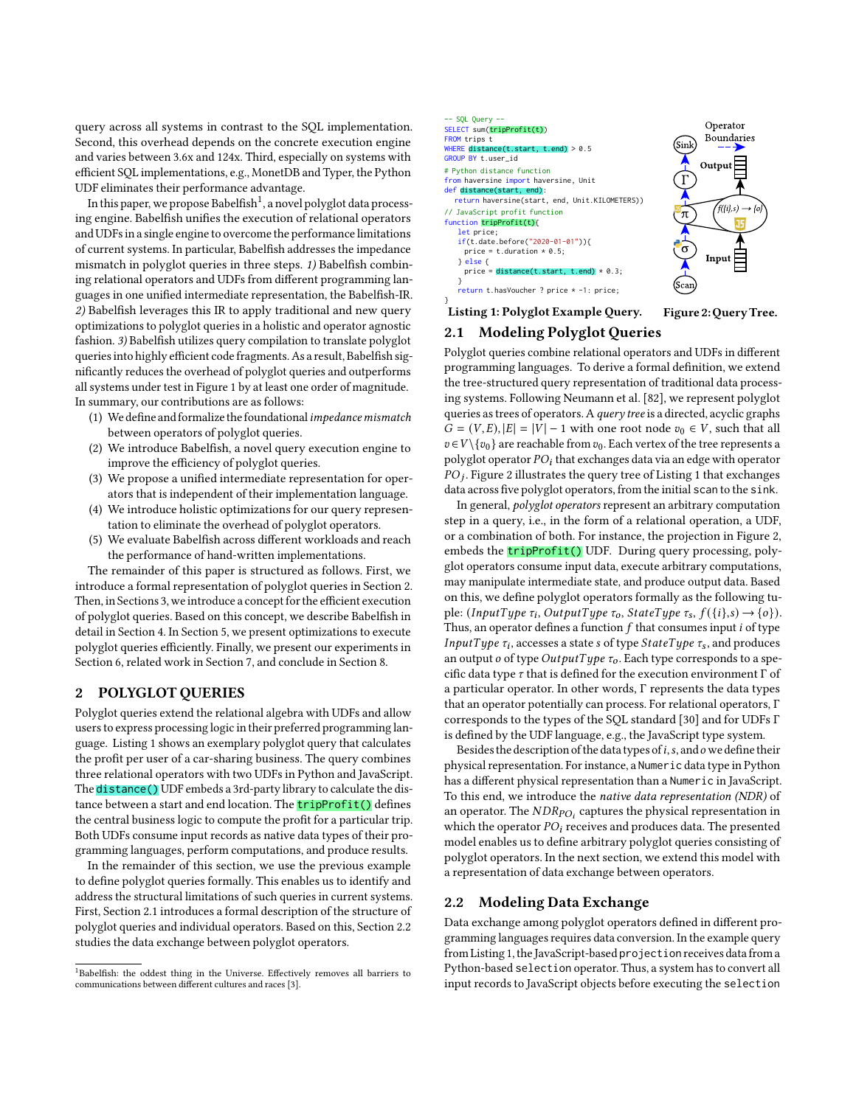query across all systems in contrast to the SQL implementation. Second, this overhead depends on the concrete execution engine and varies between 3.6x and 124x. Third, especially on systems with efficient SQL implementations, e.g., MonetDB and Typer, the Python UDF eliminates their performance advantage.

In this paper, we propose Babelfish $^1$  $^1$ , a novel polyglot data processing engine. Babelfish unifies the execution of relational operators and UDFs in a single engine to overcome the performance limitations of current systems. In particular, Babelfish addresses the impedance mismatch in polyglot queries in three steps. 1) Babelfish combining relational operators and UDFs from different programming languages in one unified intermediate representation, the Babelfish-IR. 2) Babelfish leverages this IR to apply traditional and new query optimizations to polyglot queries in a holistic and operator agnostic fashion. 3) Babelfish utilizes query compilation to translate polyglot queries into highly efficient code fragments. As a result, Babelfish significantly reduces the overhead of polyglot queries and outperforms all systems under test in Figure [1](#page-0-0) by at least one order of magnitude. In summary, our contributions are as follows:

- (1) We define and formalize the foundational impedance mismatch between operators of polyglot queries.
- (2) We introduce Babelfish, a novel query execution engine to improve the efficiency of polyglot queries.
- (3) We propose a unified intermediate representation for operators that is independent of their implementation language.
- (4) We introduce holistic optimizations for our query representation to eliminate the overhead of polyglot operators.
- (5) We evaluate Babelfish across different workloads and reach the performance of hand-written implementations.

The remainder of this paper is structured as follows. First, we introduce a formal representation of polyglot queries in Section [2.](#page-1-1) Then, in Sections [3,](#page-2-0) we introduce a concept for the efficient execution of polyglot queries. Based on this concept, we describe Babelfish in detail in Section [4.](#page-3-0) In Section [5,](#page-5-0) we present optimizations to execute polyglot queries efficiently. Finally, we present our experiments in Section [6,](#page-7-0) related work in Section [7,](#page-11-0) and conclude in Section [8.](#page-11-1)

#### <span id="page-1-1"></span>2 POLYGLOT QUERIES

Polyglot queries extend the relational algebra with UDFs and allow users to express processing logic in their preferred programming language. Listing [1](#page-1-2) shows an exemplary polyglot query that calculates the profit per user of a car-sharing business. The query combines three relational operators with two UDFs in Python and JavaScript. The distance () UDF embeds a 3rd-party library to calculate the distance between a start and end location. The **tripProfit()** defines the central business logic to compute the profit for a particular trip. Both UDFs consume input records as native data types of their programming languages, perform computations, and produce results.

In the remainder of this section, we use the previous example to define polyglot queries formally. This enables us to identify and address the structural limitations of such queries in current systems. First, Section [2.1](#page-1-3) introduces a formal description of the structure of polyglot queries and individual operators. Based on this, Section [2.2](#page-1-4) studies the data exchange between polyglot operators.

<span id="page-1-0"></span>

<span id="page-1-2"></span>

Listing 1: Polyglot Example Query. Figure 2: Query Tree.

### <span id="page-1-3"></span>2.1 Modeling Polyglot Queries

Polyglot queries combine relational operators and UDFs in different programming languages. To derive a formal definition, we extend the tree-structured query representation of traditional data processing systems. Following Neumann et al. [\[82\]](#page-13-14), we represent polyglot queries as trees of operators. A query tree is a directed, acyclic graphs  $G = (V, E), |E| = |V| - 1$  with one root node  $v_0 \in V$ , such that all  $v \in V \setminus \{v_0\}$  are reachable from  $v_0$ . Each vertex of the tree represents a polyglot operator  $PO<sub>i</sub>$  that exchanges data via an edge with operator  $PO_j$  . Figure [2](#page-1-2) illustrates the query tree of Listing [1](#page-1-2) that exchanges data across five polyglot operators, from the initial scan to the sink.

In general, polyglot operators represent an arbitrary computation step in a query, i.e., in the form of a relational operation, a UDF, or a combination of both. For instance, the projection in Figure [2,](#page-1-2) embeds the **tripProfit()** UDF. During query processing, polyglot operators consume input data, execute arbitrary computations, may manipulate intermediate state, and produce output data. Based on this, we define polyglot operators formally as the following tuple: (InputType  $\tau_i$ , OutputType  $\tau_o$ , StateType  $\tau_s$ ,  $f({i}, s) \rightarrow {o}$ ). Thus, an operator defines a function  $f$  that consumes input  $i$  of type InputType  $\tau_i$ , accesses a state s of type  $StateType$   $\tau_s$ , and produces an output  $o$  of type  $OutputType \tau o$ . Each type corresponds to a specific data type  $\tau$  that is defined for the execution environment  $\Gamma$  of a particular operator. In other words, Γ represents the data types that an operator potentially can process. For relational operators, Γ corresponds to the types of the SQL standard [\[30\]](#page-12-24) and for UDFs Γ is defined by the UDF language, e.g., the JavaScript type system.

Besides the description of the data types of  $i$ ,  $s$ , and  $o$  we define their physical representation. For instance, a Numeric data type in Python has a different physical representation than a Numeric in JavaScript. To this end, we introduce the native data representation (NDR) of an operator. The  $\mathit{NDR}_{PO_i}$  captures the physical representation in which the operator  $PO<sub>i</sub>$  receives and produces data. The presented model enables us to define arbitrary polyglot queries consisting of polyglot operators. In the next section, we extend this model with a representation of data exchange between operators.

# <span id="page-1-4"></span>2.2 Modeling Data Exchange

Data exchange among polyglot operators defined in different programming languages requires data conversion. In the example query from Listin[g 1,](#page-1-2) the JavaScript-based projection receives data from a Python-based selection operator. Thus, a system has to convert all input records to JavaScript objects before executing the selection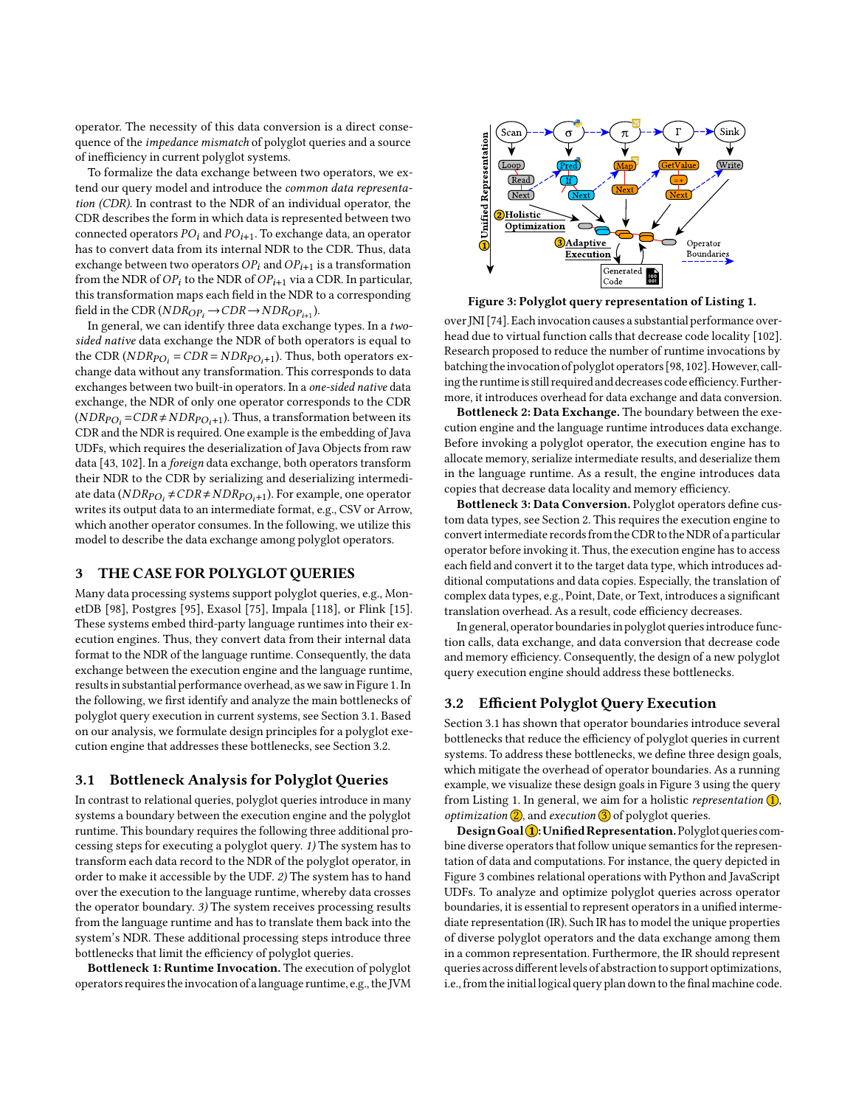operator. The necessity of this data conversion is a direct consequence of the impedance mismatch of polyglot queries and a source of inefficiency in current polyglot systems.

To formalize the data exchange between two operators, we extend our query model and introduce the common data representation (CDR). In contrast to the NDR of an individual operator, the CDR describes the form in which data is represented between two connected operators  $PO_i$  and  $PO_{i+1}$ . To exchange data, an operator has to convert data from its internal NDR to the CDR. Thus, data exchange between two operators  $OP_i$  and  $OP_{i+1}$  is a transformation from the NDR of  $OP_i$  to the NDR of  $OP_{i+1}$  via a CDR. In particular, this transformation maps each field in the NDR to a corresponding field in the CDR ( $NDR_{OP_i} \rightarrow CDR \rightarrow NDR_{OP_{i+1}}$ ).

In general, we can identify three data exchange types. In a twosided native data exchange the NDR of both operators is equal to the CDR ( $NDR<sub>PO<sub>i</sub></sub> = CDR = NDR<sub>PO<sub>i</sub>+1</sub>$ ). Thus, both operators exchange data without any transformation. This corresponds to data exchanges between two built-in operators. In a one-sided native data exchange, the NDR of only one operator corresponds to the CDR  $(NDR<sub>PO<sub>i</sub></sub> = CDR \neq NDR<sub>PO<sub>i</sub>+1</sub>)$ . Thus, a transformation between its CDR and the NDR is required. One example is the embedding of Java UDFs, which requires the deserialization of Java Objects from raw data [\[43,](#page-12-25) [102\]](#page-13-3). In a foreign data exchange, both operators transform their NDR to the CDR by serializing and deserializing intermediate data ( $NDR_{PO_i} \neq CDR \neq NDR_{PO_i+1}$ ). For example, one operator writes its output data to an intermediate format, e.g., CSV or Arrow, which another operator consumes. In the following, we utilize this model to describe the data exchange among polyglot operators.

# <span id="page-2-0"></span>3 THE CASE FOR POLYGLOT QUERIES

Many data processing systems support polyglot queries, e.g., MonetDB [\[98\]](#page-13-12), Postgres [\[95\]](#page-13-15), Exasol [\[75\]](#page-13-16), Impala [\[118\]](#page-13-17), or Flink [\[15\]](#page-12-2). These systems embed third-party language runtimes into their execution engines. Thus, they convert data from their internal data format to the NDR of the language runtime. Consequently, the data exchange between the execution engine and the language runtime, results in substantial performance overhead, as we saw in Figure [1.](#page-0-0) In the following, we first identify and analyze the main bottlenecks of polyglot query execution in current systems, see Section [3.1.](#page-2-1) Based on our analysis, we formulate design principles for a polyglot execution engine that addresses these bottlenecks, see Section [3.2.](#page-2-2)

#### <span id="page-2-1"></span>3.1 Bottleneck Analysis for Polyglot Queries

In contrast to relational queries, polyglot queries introduce in many systems a boundary between the execution engine and the polyglot runtime. This boundary requires the following three additional processing steps for executing a polyglot query. 1) The system has to transform each data record to the NDR of the polyglot operator, in order to make it accessible by the UDF. 2) The system has to hand over the execution to the language runtime, whereby data crosses the operator boundary. 3) The system receives processing results from the language runtime and has to translate them back into the system's NDR. These additional processing steps introduce three bottlenecks that limit the efficiency of polyglot queries.

Bottleneck 1: Runtime Invocation. The execution of polyglot operators requires theinvocation of a language runtime, e.g., the JVM

<span id="page-2-3"></span>

Figure 3: Polyglot query representation of Listing [1.](#page-1-2)

over JNI [\[74\]](#page-13-18). Each invocation causes a substantial performance overhead due to virtual function calls that decrease code locality [\[102\]](#page-13-3). Research proposed to reduce the number of runtime invocations by batching the invocation of polyglot operators [\[98,](#page-13-12) [102\]](#page-13-3). However, calling the runtime is still required and decreases code efficiency. Furthermore, it introduces overhead for data exchange and data conversion.

Bottleneck 2: Data Exchange. The boundary between the execution engine and the language runtime introduces data exchange. Before invoking a polyglot operator, the execution engine has to allocate memory, serialize intermediate results, and deserialize them in the language runtime. As a result, the engine introduces data copies that decrease data locality and memory efficiency.

Bottleneck 3: Data Conversion. Polyglot operators define custom data types, see Section [2.](#page-1-1) This requires the execution engine to convert intermediate records from the CDR to theNDR of a particular operator before invoking it. Thus, the execution engine has to access each field and convert it to the target data type, which introduces additional computations and data copies. Especially, the translation of complex data types, e.g., Point, Date, or Text, introduces a significant translation overhead. As a result, code efficiency decreases.

In general, operator boundaries in polyglot queries introduce function calls, data exchange, and data conversion that decrease code and memory efficiency. Consequently, the design of a new polyglot query execution engine should address these bottlenecks.

#### <span id="page-2-2"></span>3.2 Efficient Polyglot Query Execution

Section [3.1](#page-2-1) has shown that operator boundaries introduce several bottlenecks that reduce the efficiency of polyglot queries in current systems. To address these bottlenecks, we define three design goals, which mitigate the overhead of operator boundaries. As a running example, we visualize these design goals in Figure [3](#page-2-3) using the query from Listing [1.](#page-1-2) In general, we aim for a holistic representation  $\Omega$ , *optimization*  $\overline{2}$ , and *execution*  $\overline{3}$  of polyglot queries.

Design Goal 1: Unified Representation. Polyglot queries combine diverse operators that follow unique semantics for the representation of data and computations. For instance, the query depicted in Figure [3](#page-2-3) combines relational operations with Python and JavaScript UDFs. To analyze and optimize polyglot queries across operator boundaries, it is essential to represent operators in a unified intermediate representation (IR). Such IR has to model the unique properties of diverse polyglot operators and the data exchange among them in a common representation. Furthermore, the IR should represent queries across different levels of abstraction to support optimizations, i.e., from the initial logical query plan down to the final machine code.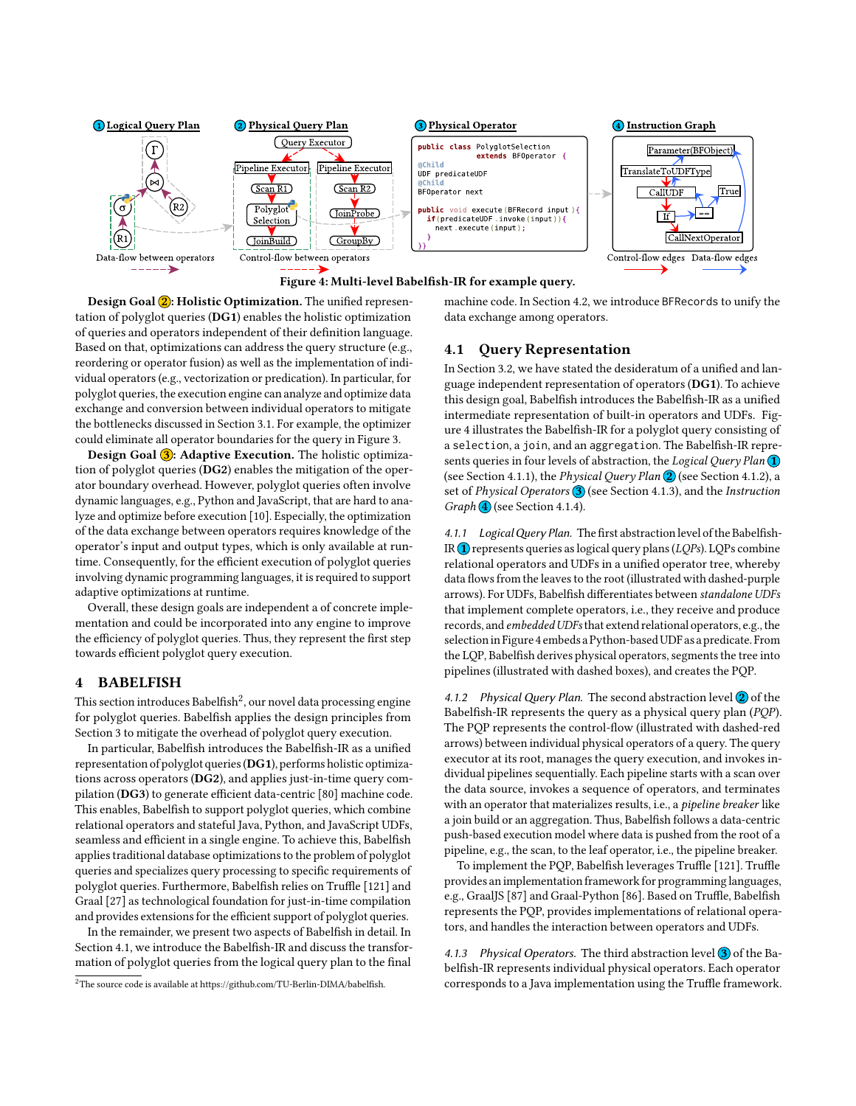<span id="page-3-3"></span>

Design Goal 2: Holistic Optimization. The unified representation of polyglot queries (DG1) enables the holistic optimization of queries and operators independent of their definition language. Based on that, optimizations can address the query structure (e.g., reordering or operator fusion) as well as the implementation of individual operators (e.g., vectorization or predication). In particular, for polyglot queries, the execution engine can analyze and optimize data exchange and conversion between individual operators to mitigate the bottlenecks discussed in Section [3.1.](#page-2-1) For example, the optimizer could eliminate all operator boundaries for the query in Figure [3.](#page-2-3)

Design Goal 3: Adaptive Execution. The holistic optimization of polyglot queries (DG2) enables the mitigation of the operator boundary overhead. However, polyglot queries often involve dynamic languages, e.g., Python and JavaScript, that are hard to analyze and optimize before execution [\[10\]](#page-12-26). Especially, the optimization of the data exchange between operators requires knowledge of the operator's input and output types, which is only available at runtime. Consequently, for the efficient execution of polyglot queries involving dynamic programming languages, it is required to support adaptive optimizations at runtime.

Overall, these design goals are independent a of concrete implementation and could be incorporated into any engine to improve the efficiency of polyglot queries. Thus, they represent the first step towards efficient polyglot query execution.

#### <span id="page-3-0"></span>4 BABELFISH

This section introduces Babelfish $^2$  $^2$ , our novel data processing engine for polyglot queries. Babelfish applies the design principles from Section [3](#page-2-0) to mitigate the overhead of polyglot query execution.

In particular, Babelfish introduces the Babelfish-IR as a unified representation of polyglot queries(DG1), performs holistic optimizations across operators (DG2), and applies just-in-time query compilation (DG3) to generate efficient data-centric [\[80\]](#page-13-19) machine code. This enables, Babelfish to support polyglot queries, which combine relational operators and stateful Java, Python, and JavaScript UDFs, seamless and efficient in a single engine. To achieve this, Babelfish applies traditional database optimizations to the problem of polyglot queries and specializes query processing to specific requirements of polyglot queries. Furthermore, Babelfish relies on Truffle [\[121\]](#page-13-20) and Graal [\[27\]](#page-12-27) as technological foundation for just-in-time compilation and provides extensions for the efficient support of polyglot queries.

In the remainder, we present two aspects of Babelfish in detail. In Section [4.1,](#page-3-2) we introduce the Babelfish-IR and discuss the transformation of polyglot queries from the logical query plan to the final

machine code. In Section [4.2,](#page-4-0) we introduce BFRecords to unify the data exchange among operators.

#### <span id="page-3-2"></span>4.1 Query Representation

In Section [3.2,](#page-2-2) we have stated the desideratum of a unified and language independent representation of operators (DG1). To achieve this design goal, Babelfish introduces the Babelfish-IR as a unified intermediate representation of built-in operators and UDFs. Figure [4](#page-3-3) illustrates the Babelfish-IR for a polyglot query consisting of a selection, a join, and an aggregation. The Babelfish-IR represents queries in four levels of abstraction, the Logical Query Plan  $\Omega$ (see Section [4.1.1\)](#page-3-4), the *Physical Query Plan*  $\overline{2}$  (see Section [4.1.2\)](#page-3-5), a set of Physical Operators  $\bigcirc$  (see Section [4.1.3\)](#page-3-6), and the Instruction Graph 4 (see Section [4.1.4\)](#page-4-1).

<span id="page-3-4"></span>4.1.1 Logical Query Plan. The first abstraction level of the Babelfish-IR  $\Omega$  represents queries as logical query plans (LQPs). LQPs combine relational operators and UDFs in a unified operator tree, whereby data flows from the leaves to the root (illustrated with dashed-purple arrows). For UDFs, Babelfish differentiates between standalone UDFs that implement complete operators, i.e., they receive and produce records, and embedded UDFsthat extend relational operators, e.g., the selection in Figur[e 4](#page-3-3) embeds a Python-based UDF as a predicate. From the LQP, Babelfish derives physical operators, segments the tree into pipelines (illustrated with dashed boxes), and creates the PQP.

<span id="page-3-5"></span>4.1.2 Physical Query Plan. The second abstraction level  $\overline{2}$  of the Babelfish-IR represents the query as a physical query plan (PQP). The PQP represents the control-flow (illustrated with dashed-red arrows) between individual physical operators of a query. The query executor at its root, manages the query execution, and invokes individual pipelines sequentially. Each pipeline starts with a scan over the data source, invokes a sequence of operators, and terminates with an operator that materializes results, i.e., a pipeline breaker like a join build or an aggregation. Thus, Babelfish follows a data-centric push-based execution model where data is pushed from the root of a pipeline, e.g., the scan, to the leaf operator, i.e., the pipeline breaker.

To implement the PQP, Babelfish leverages Truffle [\[121\]](#page-13-20). Truffle provides an implementation framework for programming languages, e.g., GraalJS [\[87\]](#page-13-21) and Graal-Python [\[86\]](#page-13-22). Based on Truffle, Babelfish represents the PQP, provides implementations of relational operators, and handles the interaction between operators and UDFs.

<span id="page-3-6"></span>4.1.3 Physical Operators. The third abstraction level  $\overline{3}$  of the Babelfish-IR represents individual physical operators. Each operator corresponds to a Java implementation using the Truffle framework.

<span id="page-3-1"></span> $2$ The source code is available at [https://github.com/TU-Berlin-DIMA/babelfish.](https://github.com/TU-Berlin-DIMA/babelfish)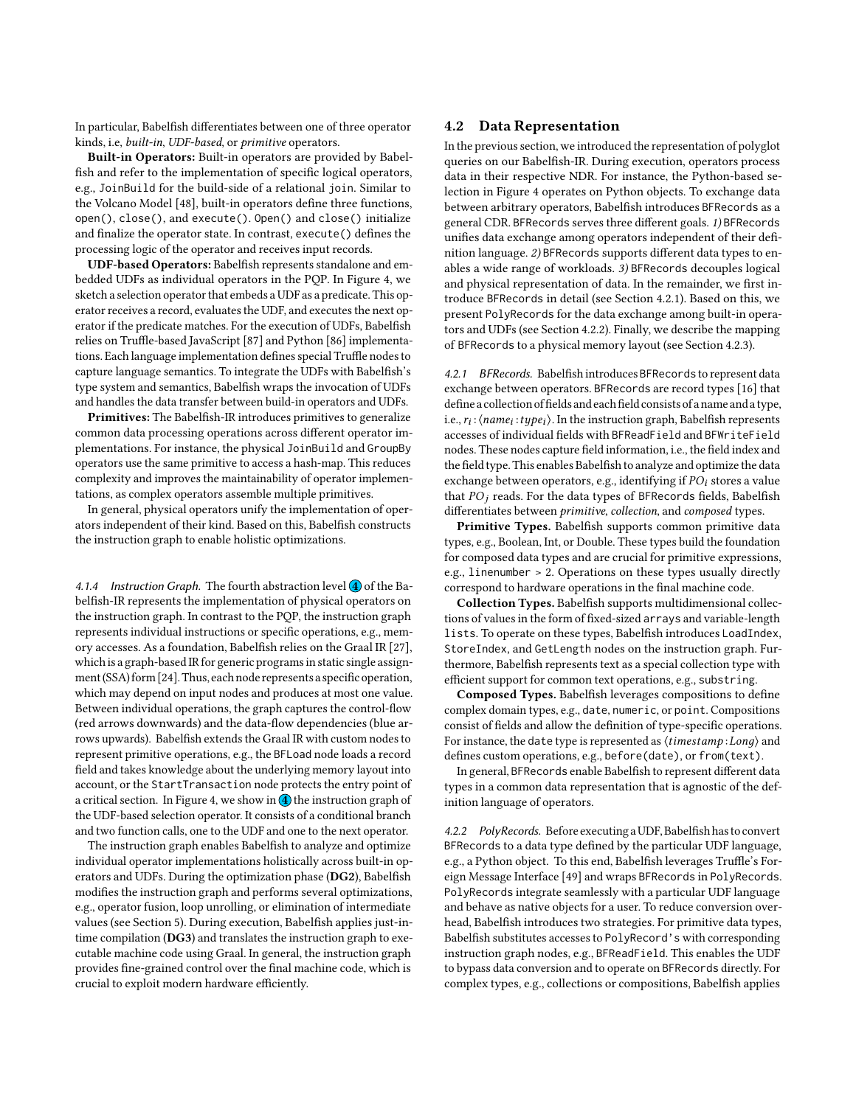In particular, Babelfish differentiates between one of three operator kinds, i.e, built-in, UDF-based, or primitive operators.

Built-in Operators: Built-in operators are provided by Babelfish and refer to the implementation of specific logical operators, e.g., JoinBuild for the build-side of a relational join. Similar to the Volcano Model [\[48\]](#page-12-28), built-in operators define three functions, open(), close(), and execute(). Open() and close() initialize and finalize the operator state. In contrast, execute() defines the processing logic of the operator and receives input records.

UDF-based Operators: Babelfish represents standalone and embedded UDFs as individual operators in the PQP. In Figure [4,](#page-3-3) we sketch a selection operator that embeds a UDF as a predicate. This operator receives a record, evaluates the UDF, and executes the next operator if the predicate matches. For the execution of UDFs, Babelfish relies on Truffle-based JavaScript [\[87\]](#page-13-21) and Python [\[86\]](#page-13-22) implementations. Each language implementation defines special Truffle nodes to capture language semantics. To integrate the UDFs with Babelfish's type system and semantics, Babelfish wraps the invocation of UDFs and handles the data transfer between build-in operators and UDFs.

Primitives: The Babelfish-IR introduces primitives to generalize common data processing operations across different operator implementations. For instance, the physical JoinBuild and GroupBy operators use the same primitive to access a hash-map. This reduces complexity and improves the maintainability of operator implementations, as complex operators assemble multiple primitives.

In general, physical operators unify the implementation of operators independent of their kind. Based on this, Babelfish constructs the instruction graph to enable holistic optimizations.

<span id="page-4-1"></span>4.1.4 Instruction Graph. The fourth abstraction level  $\overline{4}$  of the Babelfish-IR represents the implementation of physical operators on the instruction graph. In contrast to the PQP, the instruction graph represents individual instructions or specific operations, e.g., memory accesses. As a foundation, Babelfish relies on the Graal IR [\[27\]](#page-12-27), which is a graph-based IR for generic programs in static single assignment(SSA) form [\[24\]](#page-12-29). Thus, each node represents a specific operation, which may depend on input nodes and produces at most one value. Between individual operations, the graph captures the control-flow (red arrows downwards) and the data-flow dependencies (blue arrows upwards). Babelfish extends the Graal IR with custom nodes to represent primitive operations, e.g., the BFLoad node loads a record field and takes knowledge about the underlying memory layout into account, or the StartTransaction node protects the entry point of a critical section. In Figure [4,](#page-3-3) we show in  $\overline{4}$  the instruction graph of the UDF-based selection operator. It consists of a conditional branch and two function calls, one to the UDF and one to the next operator.

The instruction graph enables Babelfish to analyze and optimize individual operator implementations holistically across built-in operators and UDFs. During the optimization phase (DG2), Babelfish modifies the instruction graph and performs several optimizations, e.g., operator fusion, loop unrolling, or elimination of intermediate values (see Section [5\)](#page-5-0). During execution, Babelfish applies just-intime compilation (DG3) and translates the instruction graph to executable machine code using Graal. In general, the instruction graph provides fine-grained control over the final machine code, which is crucial to exploit modern hardware efficiently.

#### <span id="page-4-0"></span>4.2 Data Representation

In the previous section, we introduced the representation of polyglot queries on our Babelfish-IR. During execution, operators process data in their respective NDR. For instance, the Python-based selection in Figure [4](#page-3-3) operates on Python objects. To exchange data between arbitrary operators, Babelfish introduces BFRecords as a general CDR. BFRecords serves three different goals. 1) BFRecords unifies data exchange among operators independent of their definition language. 2) BFRecords supports different data types to enables a wide range of workloads. 3) BFRecords decouples logical and physical representation of data. In the remainder, we first introduce BFRecords in detail (see Section [4.2.1\)](#page-4-2). Based on this, we present PolyRecords for the data exchange among built-in operators and UDFs (see Section [4.2.2\)](#page-4-3). Finally, we describe the mapping of BFRecords to a physical memory layout (see Section [4.2.3\)](#page-5-1).

<span id="page-4-2"></span>4.2.1 BFRecords. Babelfish introduces BFRecords to represent data exchange between operators. BFRecords are record types [\[16\]](#page-12-30) that define a collection of fields and each field consists of a name and a type, i.e.,  $r_i$  :  $\langle name_i : type_i \rangle$ . In the instruction graph, Babelfish represents accesses of individual fields with BFReadField and BFWriteField nodes. These nodes capture field information, i.e., the field index and the field type. This enables Babelfish to analyze and optimize the data exchange between operators, e.g., identifying if  $PO<sub>i</sub>$  stores a value that  $PO<sub>j</sub>$  reads. For the data types of BFRecords fields, Babelfish differentiates between primitive, collection, and composed types.

Primitive Types. Babelfish supports common primitive data types, e.g., Boolean, Int, or Double. These types build the foundation for composed data types and are crucial for primitive expressions, e.g., linenumber > 2. Operations on these types usually directly correspond to hardware operations in the final machine code.

Collection Types. Babelfish supports multidimensional collections of values in the form of fixed-sized arrays and variable-length lists. To operate on these types, Babelfish introduces LoadIndex, StoreIndex, and GetLength nodes on the instruction graph. Furthermore, Babelfish represents text as a special collection type with efficient support for common text operations, e.g., substring.

Composed Types. Babelfish leverages compositions to define complex domain types, e.g., date, numeric, or point. Compositions consist of fields and allow the definition of type-specific operations. For instance, the date type is represented as  $\langle timestamp:Long \rangle$  and defines custom operations, e.g., before(date), or from(text).

In general, BFRecords enable Babelfish to represent different data types in a common data representation that is agnostic of the definition language of operators.

<span id="page-4-3"></span>4.2.2 PolyRecords. Before executing aUDF, Babelfish has to convert BFRecords to a data type defined by the particular UDF language, e.g., a Python object. To this end, Babelfish leverages Truffle's Foreign Message Interface [\[49\]](#page-12-31) and wraps BFRecords in PolyRecords. PolyRecords integrate seamlessly with a particular UDF language and behave as native objects for a user. To reduce conversion overhead, Babelfish introduces two strategies. For primitive data types, Babelfish substitutes accesses to PolyRecord's with corresponding instruction graph nodes, e.g., BFReadField. This enables the UDF to bypass data conversion and to operate on BFRecords directly. For complex types, e.g., collections or compositions, Babelfish applies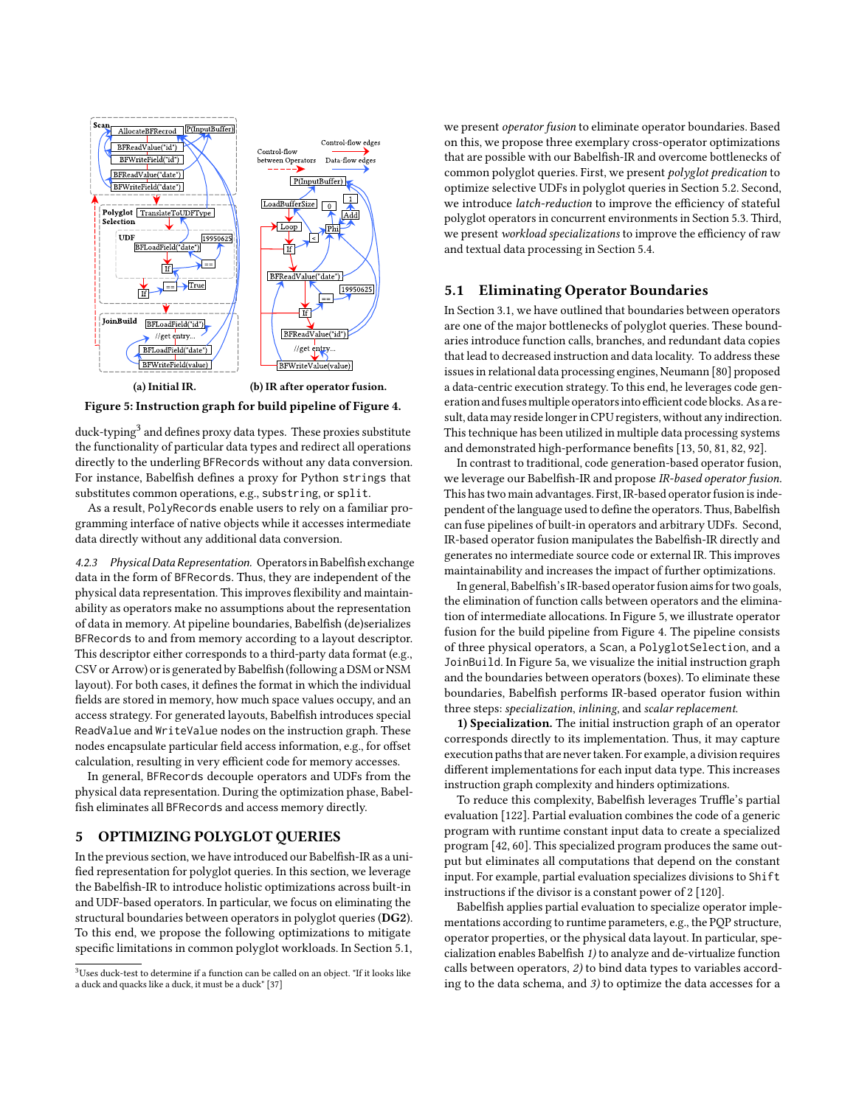<span id="page-5-4"></span>

Figure 5: Instruction graph for build pipeline of Figure [4.](#page-3-3)

duck-typing<sup>[3](#page-5-2)</sup> and defines proxy data types. These proxies substitute the functionality of particular data types and redirect all operations directly to the underling BFRecords without any data conversion. For instance, Babelfish defines a proxy for Python strings that substitutes common operations, e.g., substring, or split.

As a result, PolyRecords enable users to rely on a familiar programming interface of native objects while it accesses intermediate data directly without any additional data conversion.

<span id="page-5-1"></span>4.2.3 PhysicalData Representation. Operatorsin Babelfish exchange data in the form of BFRecords. Thus, they are independent of the physical data representation. This improves flexibility and maintainability as operators make no assumptions about the representation of data in memory. At pipeline boundaries, Babelfish (de)serializes BFRecords to and from memory according to a layout descriptor. This descriptor either corresponds to a third-party data format (e.g., CSV or Arrow) or is generated by Babelfish (following a DSM or NSM layout). For both cases, it defines the format in which the individual fields are stored in memory, how much space values occupy, and an access strategy. For generated layouts, Babelfish introduces special ReadValue and WriteValue nodes on the instruction graph. These nodes encapsulate particular field access information, e.g., for offset calculation, resulting in very efficient code for memory accesses.

In general, BFRecords decouple operators and UDFs from the physical data representation. During the optimization phase, Babelfish eliminates all BFRecords and access memory directly.

#### <span id="page-5-0"></span>5 OPTIMIZING POLYGLOT QUERIES

In the previous section, we have introduced our Babelfish-IR as a unified representation for polyglot queries. In this section, we leverage the Babelfish-IR to introduce holistic optimizations across built-in and UDF-based operators. In particular, we focus on eliminating the structural boundaries between operators in polyglot queries (DG2). To this end, we propose the following optimizations to mitigate specific limitations in common polyglot workloads. In Section [5.1,](#page-5-3) we present operator fusion to eliminate operator boundaries. Based on this, we propose three exemplary cross-operator optimizations that are possible with our Babelfish-IR and overcome bottlenecks of common polyglot queries. First, we present polyglot predication to optimize selective UDFs in polyglot queries in Section [5.2.](#page-6-0) Second, we introduce latch-reduction to improve the efficiency of stateful polyglot operators in concurrent environments in Section [5.3.](#page-6-1) Third, we present workload specializations to improve the efficiency of raw and textual data processing in Section [5.4.](#page-7-1)

#### <span id="page-5-3"></span>5.1 Eliminating Operator Boundaries

In Section [3.1,](#page-2-1) we have outlined that boundaries between operators are one of the major bottlenecks of polyglot queries. These boundaries introduce function calls, branches, and redundant data copies that lead to decreased instruction and data locality. To address these issues in relational data processing engines, Neumann [\[80\]](#page-13-19) proposed a data-centric execution strategy. To this end, he leverages code generation and fusesmultiple operatorsinto efficient codeblocks. As a result, data may reside longer in CPU registers, without any indirection. This technique has been utilized in multiple data processing systems and demonstrated high-performance benefits [\[13,](#page-12-33) [50,](#page-12-34) [81,](#page-13-23) [82,](#page-13-14) [92\]](#page-13-24).

In contrast to traditional, code generation-based operator fusion, we leverage our Babelfish-IR and propose IR-based operator fusion. This has two main advantages. First, IR-based operator fusion is independent of the language used to define the operators. Thus, Babelfish can fuse pipelines of built-in operators and arbitrary UDFs. Second, IR-based operator fusion manipulates the Babelfish-IR directly and generates no intermediate source code or external IR. This improves maintainability and increases the impact of further optimizations.

In general, Babelfish's IR-based operator fusion aims for two goals, the elimination of function calls between operators and the elimination of intermediate allocations. In Figure [5,](#page-5-4) we illustrate operator fusion for the build pipeline from Figure [4.](#page-3-3) The pipeline consists of three physical operators, a Scan, a PolyglotSelection, and a JoinBuild. In Figure [5a,](#page-5-4) we visualize the initial instruction graph and the boundaries between operators (boxes). To eliminate these boundaries, Babelfish performs IR-based operator fusion within three steps: specialization, inlining, and scalar replacement.

1) Specialization. The initial instruction graph of an operator corresponds directly to its implementation. Thus, it may capture execution paths that are never taken. For example, a division requires different implementations for each input data type. This increases instruction graph complexity and hinders optimizations.

To reduce this complexity, Babelfish leverages Truffle's partial evaluation [\[122\]](#page-13-25). Partial evaluation combines the code of a generic program with runtime constant input data to create a specialized program [\[42,](#page-12-35) [60\]](#page-12-36). This specialized program produces the same output but eliminates all computations that depend on the constant input. For example, partial evaluation specializes divisions to Shift instructions if the divisor is a constant power of 2 [\[120\]](#page-13-26).

Babelfish applies partial evaluation to specialize operator implementations according to runtime parameters, e.g., the PQP structure, operator properties, or the physical data layout. In particular, specialization enables Babelfish 1) to analyze and de-virtualize function calls between operators, 2) to bind data types to variables according to the data schema, and 3) to optimize the data accesses for a

<span id="page-5-2"></span><sup>3</sup>Uses duck-test to determine if a function can be called on an object. "If it looks like a duck and quacks like a duck, it must be a duck" [\[37\]](#page-12-32)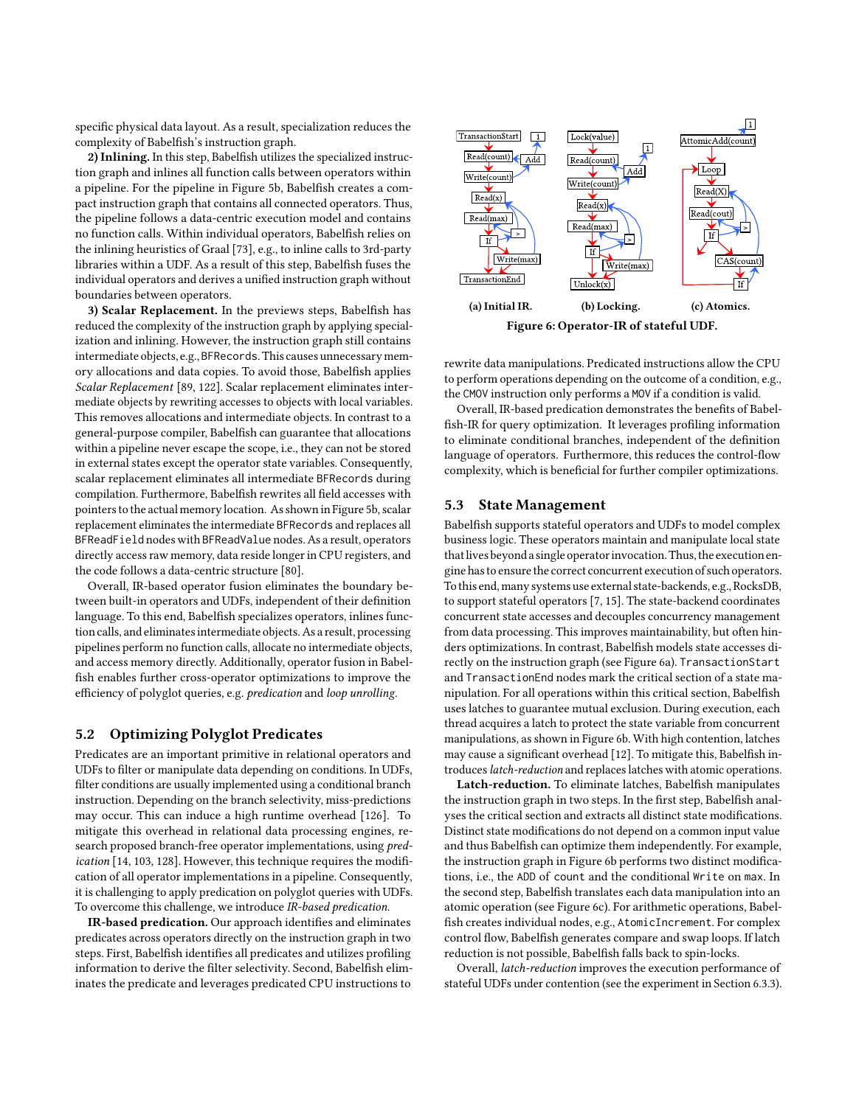specific physical data layout. As a result, specialization reduces the complexity of Babelfish's instruction graph.

2) Inlining. In this step, Babelfish utilizes the specialized instruction graph and inlines all function calls between operators within a pipeline. For the pipeline in Figure [5b,](#page-5-4) Babelfish creates a compact instruction graph that contains all connected operators. Thus, the pipeline follows a data-centric execution model and contains no function calls. Within individual operators, Babelfish relies on the inlining heuristics of Graal [\[73\]](#page-13-27), e.g., to inline calls to 3rd-party libraries within a UDF. As a result of this step, Babelfish fuses the individual operators and derives a unified instruction graph without boundaries between operators.

3) Scalar Replacement. In the previews steps, Babelfish has reduced the complexity of the instruction graph by applying specialization and inlining. However, the instruction graph still contains intermediate objects, e.g., BFRecords. This causes unnecessary memory allocations and data copies. To avoid those, Babelfish applies Scalar Replacement [\[89,](#page-13-28) [122\]](#page-13-25). Scalar replacement eliminates intermediate objects by rewriting accesses to objects with local variables. This removes allocations and intermediate objects. In contrast to a general-purpose compiler, Babelfish can guarantee that allocations within a pipeline never escape the scope, i.e., they can not be stored in external states except the operator state variables. Consequently, scalar replacement eliminates all intermediate BFRecords during compilation. Furthermore, Babelfish rewrites all field accesses with pointers to the actual memory location. As shown in Figure [5b,](#page-5-4) scalar replacement eliminates the intermediate BFRecords and replaces all BFReadField nodes with BFReadValue nodes. As a result, operators directly access raw memory, data reside longer in CPU registers, and the code follows a data-centric structure [\[80\]](#page-13-19).

Overall, IR-based operator fusion eliminates the boundary between built-in operators and UDFs, independent of their definition language. To this end, Babelfish specializes operators, inlines function calls, and eliminates intermediate objects. As a result, processing pipelines perform no function calls, allocate no intermediate objects, and access memory directly. Additionally, operator fusion in Babelfish enables further cross-operator optimizations to improve the efficiency of polyglot queries, e.g. predication and loop unrolling.

## <span id="page-6-0"></span>5.2 Optimizing Polyglot Predicates

Predicates are an important primitive in relational operators and UDFs to filter or manipulate data depending on conditions. In UDFs, filter conditions are usually implemented using a conditional branch instruction. Depending on the branch selectivity, miss-predictions may occur. This can induce a high runtime overhead [\[126\]](#page-14-0). To mitigate this overhead in relational data processing engines, research proposed branch-free operator implementations, using predication [\[14,](#page-12-37) [103,](#page-13-29) [128\]](#page-14-1). However, this technique requires the modification of all operator implementations in a pipeline. Consequently, it is challenging to apply predication on polyglot queries with UDFs. To overcome this challenge, we introduce IR-based predication.

IR-based predication. Our approach identifies and eliminates predicates across operators directly on the instruction graph in two steps. First, Babelfish identifies all predicates and utilizes profiling information to derive the filter selectivity. Second, Babelfish eliminates the predicate and leverages predicated CPU instructions to

<span id="page-6-2"></span>

rewrite data manipulations. Predicated instructions allow the CPU to perform operations depending on the outcome of a condition, e.g., the CMOV instruction only performs a MOV if a condition is valid.

Overall, IR-based predication demonstrates the benefits of Babelfish-IR for query optimization. It leverages profiling information to eliminate conditional branches, independent of the definition language of operators. Furthermore, this reduces the control-flow complexity, which is beneficial for further compiler optimizations.

### <span id="page-6-1"></span>5.3 State Management

Babelfish supports stateful operators and UDFs to model complex business logic. These operators maintain and manipulate local state that lives beyond a single operator invocation. Thus, the execution engine has to ensure the correct concurrent execution of such operators. To this end, many systems use external state-backends, e.g., RocksDB, to support stateful operators [\[7,](#page-12-38) [15\]](#page-12-2). The state-backend coordinates concurrent state accesses and decouples concurrency management from data processing. This improves maintainability, but often hinders optimizations. In contrast, Babelfish models state accesses directly on the instruction graph (see Figure [6a\)](#page-6-2). TransactionStart and TransactionEnd nodes mark the critical section of a state manipulation. For all operations within this critical section, Babelfish uses latches to guarantee mutual exclusion. During execution, each thread acquires a latch to protect the state variable from concurrent manipulations, as shown in Figure [6b.](#page-6-2) With high contention, latches may cause a significant overhead [\[12\]](#page-12-39). To mitigate this, Babelfish introduces latch-reduction and replaces latches with atomic operations.

Latch-reduction. To eliminate latches, Babelfish manipulates the instruction graph in two steps. In the first step, Babelfish analyses the critical section and extracts all distinct state modifications. Distinct state modifications do not depend on a common input value and thus Babelfish can optimize them independently. For example, the instruction graph in Figure [6b](#page-6-2) performs two distinct modifications, i.e., the ADD of count and the conditional Write on max. In the second step, Babelfish translates each data manipulation into an atomic operation (see Figure [6c\)](#page-6-2). For arithmetic operations, Babelfish creates individual nodes, e.g., AtomicIncrement. For complex control flow, Babelfish generates compare and swap loops. If latch reduction is not possible, Babelfish falls back to spin-locks.

Overall, latch-reduction improves the execution performance of stateful UDFs under contention (see the experiment in Section [6.3.3\)](#page-10-0).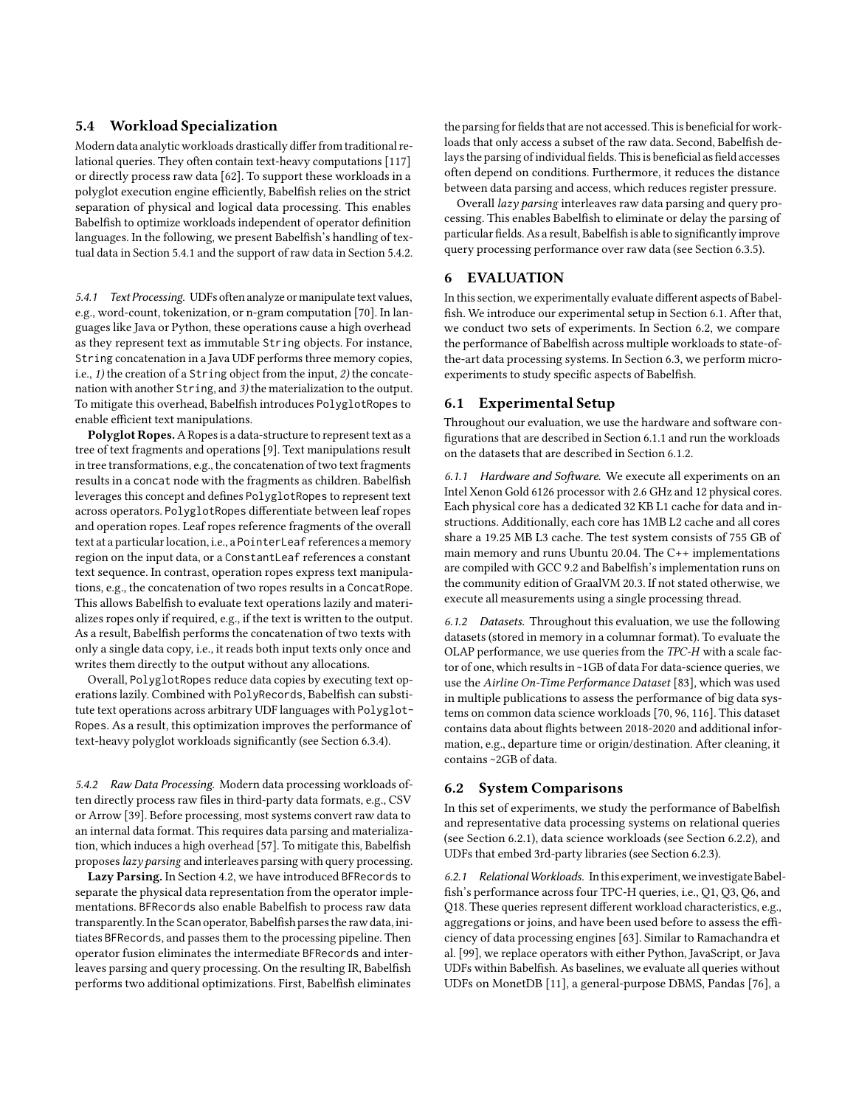#### <span id="page-7-1"></span>5.4 Workload Specialization

Modern data analytic workloads drastically differ from traditional relational queries. They often contain text-heavy computations [\[117\]](#page-13-30) or directly process raw data [\[62\]](#page-13-31). To support these workloads in a polyglot execution engine efficiently, Babelfish relies on the strict separation of physical and logical data processing. This enables Babelfish to optimize workloads independent of operator definition languages. In the following, we present Babelfish's handling of textual data in Section [5.4.1](#page-7-2) and the support of raw data in Section [5.4.2.](#page-7-3)

<span id="page-7-2"></span>5.4.1 Text Processing. UDFs often analyze or manipulate text values, e.g., word-count, tokenization, or n-gram computation [\[70\]](#page-13-11). In languages like Java or Python, these operations cause a high overhead as they represent text as immutable String objects. For instance, String concatenation in a Java UDF performs three memory copies, i.e., 1) the creation of a String object from the input, 2) the concatenation with another String, and 3) the materialization to the output. To mitigate this overhead, Babelfish introduces PolyglotRopes to enable efficient text manipulations.

Polyglot Ropes. A Ropes is a data-structure to represent text as a tree of text fragments and operations [\[9\]](#page-12-40). Text manipulations result in tree transformations, e.g., the concatenation of two text fragments results in a concat node with the fragments as children. Babelfish leverages this concept and defines PolyglotRopes to represent text across operators. PolyglotRopes differentiate between leaf ropes and operation ropes. Leaf ropes reference fragments of the overall text at a particular location, i.e., a PointerLeaf references a memory region on the input data, or a ConstantLeaf references a constant text sequence. In contrast, operation ropes express text manipulations, e.g., the concatenation of two ropes results in a ConcatRope. This allows Babelfish to evaluate text operations lazily and materializes ropes only if required, e.g., if the text is written to the output. As a result, Babelfish performs the concatenation of two texts with only a single data copy, i.e., it reads both input texts only once and writes them directly to the output without any allocations.

Overall, PolyglotRopes reduce data copies by executing text operations lazily. Combined with PolyRecords, Babelfish can substitute text operations across arbitrary UDF languages with Polyglot-Ropes. As a result, this optimization improves the performance of text-heavy polyglot workloads significantly (see Section [6.3.4\)](#page-10-1).

<span id="page-7-3"></span>5.4.2 Raw Data Processing. Modern data processing workloads often directly process raw files in third-party data formats, e.g., CSV or Arrow [\[39\]](#page-12-41). Before processing, most systems convert raw data to an internal data format. This requires data parsing and materialization, which induces a high overhead [\[57\]](#page-12-42). To mitigate this, Babelfish proposes lazy parsing and interleaves parsing with query processing.

Lazy Parsing. In Section [4.2,](#page-4-0) we have introduced BFRecords to separate the physical data representation from the operator implementations. BFRecords also enable Babelfish to process raw data transparently.In the Scan operator, Babelfish parses the raw data, initiates BFRecords, and passes them to the processing pipeline. Then operator fusion eliminates the intermediate BFRecords and interleaves parsing and query processing. On the resulting IR, Babelfish performs two additional optimizations. First, Babelfish eliminates

the parsing for fields that are not accessed. This is beneficial for workloads that only access a subset of the raw data. Second, Babelfish delays the parsing of individual fields. This is beneficial as field accesses often depend on conditions. Furthermore, it reduces the distance between data parsing and access, which reduces register pressure.

Overall lazy parsing interleaves raw data parsing and query processing. This enables Babelfish to eliminate or delay the parsing of particular fields. As a result, Babelfish is able to significantly improve query processing performance over raw data (see Section [6.3.5\)](#page-10-2).

# <span id="page-7-0"></span>6 EVALUATION

In this section, we experimentally evaluate different aspects of Babelfish. We introduce our experimental setup in Section [6.1.](#page-7-4) After that, we conduct two sets of experiments. In Section [6.2,](#page-7-5) we compare the performance of Babelfish across multiple workloads to state-ofthe-art data processing systems. In Section [6.3,](#page-9-0) we perform microexperiments to study specific aspects of Babelfish.

### <span id="page-7-4"></span>6.1 Experimental Setup

Throughout our evaluation, we use the hardware and software configurations that are described in Section [6.1.1](#page-7-6) and run the workloads on the datasets that are described in Section [6.1.2.](#page-7-7)

<span id="page-7-6"></span>6.1.1 Hardware and Software. We execute all experiments on an Intel Xenon Gold 6126 processor with 2.6 GHz and 12 physical cores. Each physical core has a dedicated 32 KB L1 cache for data and instructions. Additionally, each core has 1MB L2 cache and all cores share a 19.25 MB L3 cache. The test system consists of 755 GB of main memory and runs Ubuntu 20.04. The C++ implementations are compiled with GCC 9.2 and Babelfish's implementation runs on the community edition of GraalVM 20.3. If not stated otherwise, we execute all measurements using a single processing thread.

<span id="page-7-7"></span>6.1.2 Datasets. Throughout this evaluation, we use the following datasets (stored in memory in a columnar format). To evaluate the OLAP performance, we use queries from the TPC-H with a scale factor of one, which results in ~1GB of data For data-science queries, we use the Airline On-Time Performance Dataset [\[83\]](#page-13-32), which was used in multiple publications to assess the performance of big data systems on common data science workloads [\[70,](#page-13-11) [96,](#page-13-33) [116\]](#page-13-34). This dataset contains data about flights between 2018-2020 and additional information, e.g., departure time or origin/destination. After cleaning, it contains ~2GB of data.

#### <span id="page-7-5"></span>6.2 System Comparisons

In this set of experiments, we study the performance of Babelfish and representative data processing systems on relational queries (see Section [6.2.1\)](#page-7-8), data science workloads (see Section [6.2.2\)](#page-8-0), and UDFs that embed 3rd-party libraries (see Section [6.2.3\)](#page-8-1).

<span id="page-7-8"></span>6.2.1 Relational Workloads. In this experiment, we investigate Babelfish's performance across four TPC-H queries, i.e., Q1, Q3, Q6, and Q18. These queries represent different workload characteristics, e.g., aggregations or joins, and have been used before to assess the efficiency of data processing engines [\[63\]](#page-13-13). Similar to Ramachandra et al. [\[99\]](#page-13-9), we replace operators with either Python, JavaScript, or Java UDFs within Babelfish. As baselines, we evaluate all queries without UDFs on MonetDB [\[11\]](#page-12-43), a general-purpose DBMS, Pandas [\[76\]](#page-13-35), a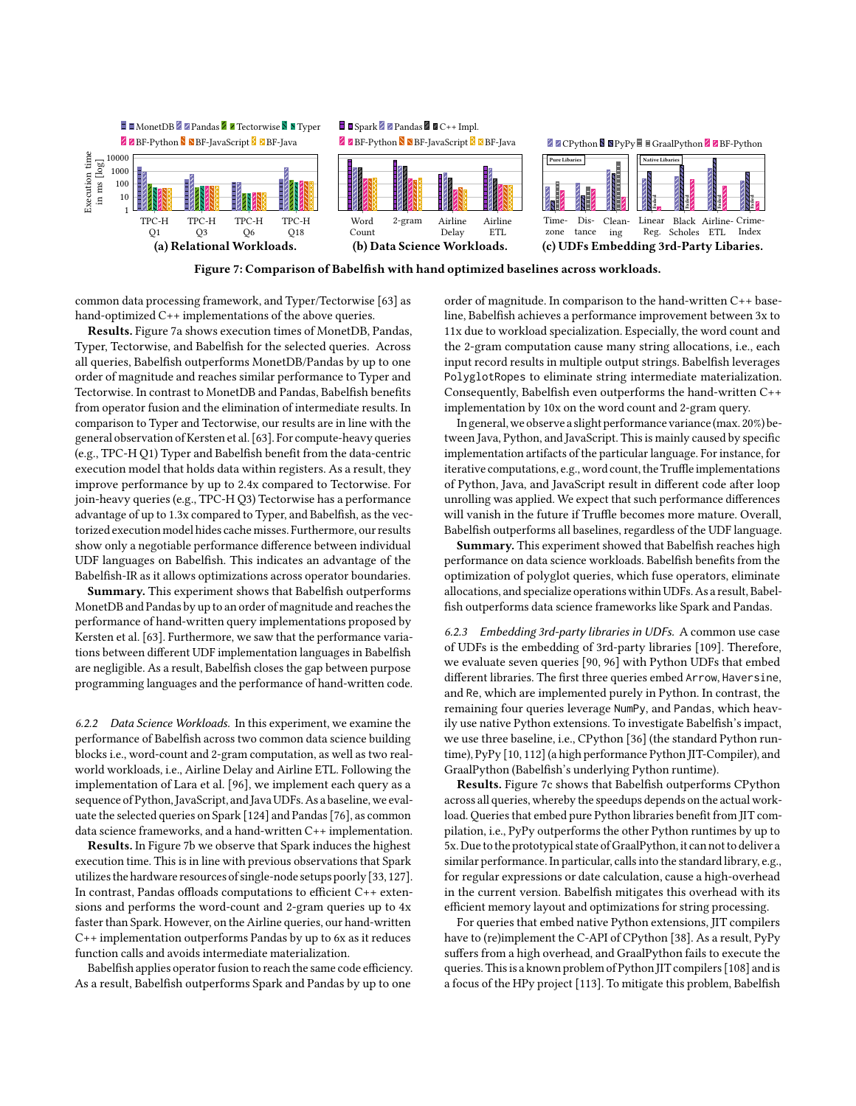<span id="page-8-3"></span>

<span id="page-8-2"></span>

common data processing framework, and Typer/Tectorwise [\[63\]](#page-13-13) as hand-optimized C++ implementations of the above queries.

Results. Figure [7a](#page-8-3) shows execution times of MonetDB, Pandas, Typer, Tectorwise, and Babelfish for the selected queries. Across all queries, Babelfish outperforms MonetDB/Pandas by up to one order of magnitude and reaches similar performance to Typer and Tectorwise. In contrast to MonetDB and Pandas, Babelfish benefits from operator fusion and the elimination of intermediate results. In comparison to Typer and Tectorwise, our results are in line with the general observation of Kersten et al. [\[63\]](#page-13-13). For compute-heavy queries (e.g., TPC-H Q1) Typer and Babelfish benefit from the data-centric execution model that holds data within registers. As a result, they improve performance by up to 2.4x compared to Tectorwise. For join-heavy queries (e.g., TPC-H Q3) Tectorwise has a performance advantage of up to 1.3x compared to Typer, and Babelfish, as the vectorized execution model hides cache misses. Furthermore, our results show only a negotiable performance difference between individual UDF languages on Babelfish. This indicates an advantage of the Babelfish-IR as it allows optimizations across operator boundaries.

Summary. This experiment shows that Babelfish outperforms MonetDB and Pandas by up to an order of magnitude and reaches the performance of hand-written query implementations proposed by Kersten et al. [\[63\]](#page-13-13). Furthermore, we saw that the performance variations between different UDF implementation languages in Babelfish are negligible. As a result, Babelfish closes the gap between purpose programming languages and the performance of hand-written code.

<span id="page-8-0"></span>6.2.2 Data Science Workloads. In this experiment, we examine the performance of Babelfish across two common data science building blocks i.e., word-count and 2-gram computation, as well as two realworld workloads, i.e., Airline Delay and Airline ETL. Following the implementation of Lara et al. [\[96\]](#page-13-33), we implement each query as a sequence of Python, JavaScript, and Java UDFs. As a baseline, we evaluate the selected queries on Spark [\[124\]](#page-13-36) and Pandas [\[76\]](#page-13-35), as common data science frameworks, and a hand-written C++ implementation.

Results. In Figure [7b](#page-8-3) we observe that Spark induces the highest execution time. This is in line with previous observations that Spark utilizes the hardware resources of single-node setups poorly [\[33,](#page-12-44) [127\]](#page-14-2). In contrast, Pandas offloads computations to efficient C++ extensions and performs the word-count and 2-gram queries up to 4x faster than Spark. However, on the Airline queries, our hand-written C++ implementation outperforms Pandas by up to 6x as it reduces function calls and avoids intermediate materialization.

Babelfish applies operator fusion to reach the same code efficiency. As a result, Babelfish outperforms Spark and Pandas by up to one

order of magnitude. In comparison to the hand-written C++ baseline, Babelfish achieves a performance improvement between 3x to 11x due to workload specialization. Especially, the word count and the 2-gram computation cause many string allocations, i.e., each input record results in multiple output strings. Babelfish leverages PolyglotRopes to eliminate string intermediate materialization. Consequently, Babelfish even outperforms the hand-written C++ implementation by 10x on the word count and 2-gram query.

In general, we observe a slight performance variance(max. 20%) between Java, Python, and JavaScript. This is mainly caused by specific implementation artifacts of the particular language. For instance, for iterative computations, e.g., word count, the Truffle implementations of Python, Java, and JavaScript result in different code after loop unrolling was applied. We expect that such performance differences will vanish in the future if Truffle becomes more mature. Overall, Babelfish outperforms all baselines, regardless of the UDF language.

Summary. This experiment showed that Babelfish reaches high performance on data science workloads. Babelfish benefits from the optimization of polyglot queries, which fuse operators, eliminate allocations, and specialize operations within UDFs. As a result, Babelfish outperforms data science frameworks like Spark and Pandas.

<span id="page-8-1"></span>6.2.3 Embedding 3rd-party libraries in UDFs. A common use case of UDFs is the embedding of 3rd-party libraries [\[109\]](#page-13-2). Therefore, we evaluate seven queries [\[90,](#page-13-37) [96\]](#page-13-33) with Python UDFs that embed different libraries. The first three queries embed Arrow, Haversine, and Re, which are implemented purely in Python. In contrast, the remaining four queries leverage NumPy, and Pandas, which heavily use native Python extensions. To investigate Babelfish's impact, we use three baseline, i.e., CPython [\[36\]](#page-12-45) (the standard Python runtime), PyPy [\[10,](#page-12-26) [112\]](#page-13-38) (a high performance Python JIT-Compiler), and GraalPython (Babelfish's underlying Python runtime).

Results. Figure [7c](#page-8-3) shows that Babelfish outperforms CPython across all queries, whereby the speedups depends on the actual workload. Queries that embed pure Python libraries benefit from JIT compilation, i.e., PyPy outperforms the other Python runtimes by up to 5x. Due to the prototypical state of GraalPython, it can not to deliver a similar performance. In particular, calls into the standard library, e.g., for regular expressions or date calculation, cause a high-overhead in the current version. Babelfish mitigates this overhead with its efficient memory layout and optimizations for string processing.

For queries that embed native Python extensions, JIT compilers have to (re)implement the C-API of CPython [\[38\]](#page-12-46). As a result, PyPy suffers from a high overhead, and GraalPython fails to execute the queries. This is a known problem of Python JIT compilers [\[108\]](#page-13-39) and is a focus of the HPy project [\[113\]](#page-13-40). To mitigate this problem, Babelfish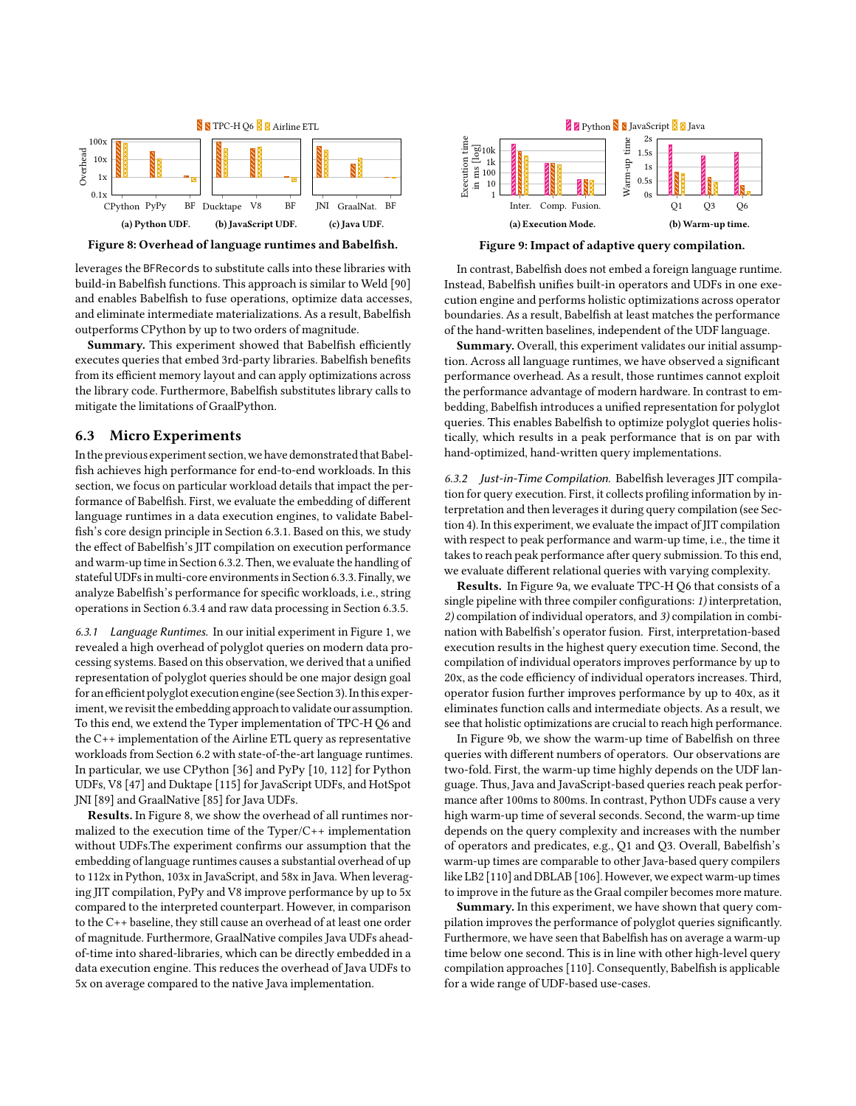<span id="page-9-3"></span>

Figure 8: Overhead of language runtimes and Babelfish.

leverages the BFRecords to substitute calls into these libraries with build-in Babelfish functions. This approach is similar to Weld [\[90\]](#page-13-37) and enables Babelfish to fuse operations, optimize data accesses, and eliminate intermediate materializations. As a result, Babelfish outperforms CPython by up to two orders of magnitude.

Summary. This experiment showed that Babelfish efficiently executes queries that embed 3rd-party libraries. Babelfish benefits from its efficient memory layout and can apply optimizations across the library code. Furthermore, Babelfish substitutes library calls to mitigate the limitations of GraalPython.

#### <span id="page-9-0"></span>6.3 Micro Experiments

In the previous experiment section, we have demonstrated that Babelfish achieves high performance for end-to-end workloads. In this section, we focus on particular workload details that impact the performance of Babelfish. First, we evaluate the embedding of different language runtimes in a data execution engines, to validate Babelfish's core design principle in Section [6.3.1.](#page-9-1) Based on this, we study the effect of Babelfish's JIT compilation on execution performance and warm-up time in Sectio[n 6.3.2.](#page-9-2) Then, we evaluate the handling of stateful UDFs in multi-core environments in Section [6.3.3.](#page-10-0) Finally, we analyze Babelfish's performance for specific workloads, i.e., string operations in Section [6.3.4](#page-10-1) and raw data processing in Section [6.3.5.](#page-10-2)

<span id="page-9-1"></span>6.3.1 Language Runtimes. In our initial experiment in Figure [1,](#page-0-0) we revealed a high overhead of polyglot queries on modern data processing systems. Based on this observation, we derived that a unified representation of polyglot queries should be one major design goal for an efficient polyglot execution engine(see Section [3\)](#page-2-0).In this experiment, we revisit the embedding approach to validate our assumption. To this end, we extend the Typer implementation of TPC-H Q6 and the C++ implementation of the Airline ETL query as representative workloads from Section [6.2](#page-7-5) with state-of-the-art language runtimes. In particular, we use CPython [\[36\]](#page-12-45) and PyPy [\[10,](#page-12-26) [112\]](#page-13-38) for Python UDFs, V8 [\[47\]](#page-12-47) and Duktape [\[115\]](#page-13-41) for JavaScript UDFs, and HotSpot JNI [\[89\]](#page-13-28) and GraalNative [\[85\]](#page-13-42) for Java UDFs.

Results. In Figure [8,](#page-9-3) we show the overhead of all runtimes normalized to the execution time of the Typer/C++ implementation without UDFs.The experiment confirms our assumption that the embedding of language runtimes causes a substantial overhead of up to 112x in Python, 103x in JavaScript, and 58x in Java. When leveraging JIT compilation, PyPy and V8 improve performance by up to 5x compared to the interpreted counterpart. However, in comparison to the C++ baseline, they still cause an overhead of at least one order of magnitude. Furthermore, GraalNative compiles Java UDFs aheadof-time into shared-libraries, which can be directly embedded in a data execution engine. This reduces the overhead of Java UDFs to 5x on average compared to the native Java implementation.

<span id="page-9-4"></span>

Figure 9: Impact of adaptive query compilation.

In contrast, Babelfish does not embed a foreign language runtime. Instead, Babelfish unifies built-in operators and UDFs in one execution engine and performs holistic optimizations across operator boundaries. As a result, Babelfish at least matches the performance of the hand-written baselines, independent of the UDF language.

Summary. Overall, this experiment validates our initial assumption. Across all language runtimes, we have observed a significant performance overhead. As a result, those runtimes cannot exploit the performance advantage of modern hardware. In contrast to embedding, Babelfish introduces a unified representation for polyglot queries. This enables Babelfish to optimize polyglot queries holistically, which results in a peak performance that is on par with hand-optimized, hand-written query implementations.

<span id="page-9-2"></span>6.3.2 Just-in-Time Compilation. Babelfish leverages JIT compilation for query execution. First, it collects profiling information by interpretation and then leverages it during query compilation (see Section [4\)](#page-3-0). In this experiment, we evaluate the impact of JIT compilation with respect to peak performance and warm-up time, i.e., the time it takes to reach peak performance after query submission. To this end, we evaluate different relational queries with varying complexity.

Results. In Figure [9a](#page-9-4), we evaluate TPC-H Q6 that consists of a single pipeline with three compiler configurations: 1) interpretation, 2) compilation of individual operators, and 3) compilation in combination with Babelfish's operator fusion. First, interpretation-based execution results in the highest query execution time. Second, the compilation of individual operators improves performance by up to 20x, as the code efficiency of individual operators increases. Third, operator fusion further improves performance by up to 40x, as it eliminates function calls and intermediate objects. As a result, we see that holistic optimizations are crucial to reach high performance.

In Figure [9b](#page-9-4), we show the warm-up time of Babelfish on three queries with different numbers of operators. Our observations are two-fold. First, the warm-up time highly depends on the UDF language. Thus, Java and JavaScript-based queries reach peak performance after 100ms to 800ms. In contrast, Python UDFs cause a very high warm-up time of several seconds. Second, the warm-up time depends on the query complexity and increases with the number of operators and predicates, e.g., Q1 and Q3. Overall, Babelfish's warm-up times are comparable to other Java-based query compilers like LB2 [\[110\]](#page-13-43) and DBLAB [\[106\]](#page-13-44). However, we expect warm-up times to improve in the future as the Graal compiler becomes more mature.

Summary. In this experiment, we have shown that query compilation improves the performance of polyglot queries significantly. Furthermore, we have seen that Babelfish has on average a warm-up time below one second. This is in line with other high-level query compilation approaches [\[110\]](#page-13-43). Consequently, Babelfish is applicable for a wide range of UDF-based use-cases.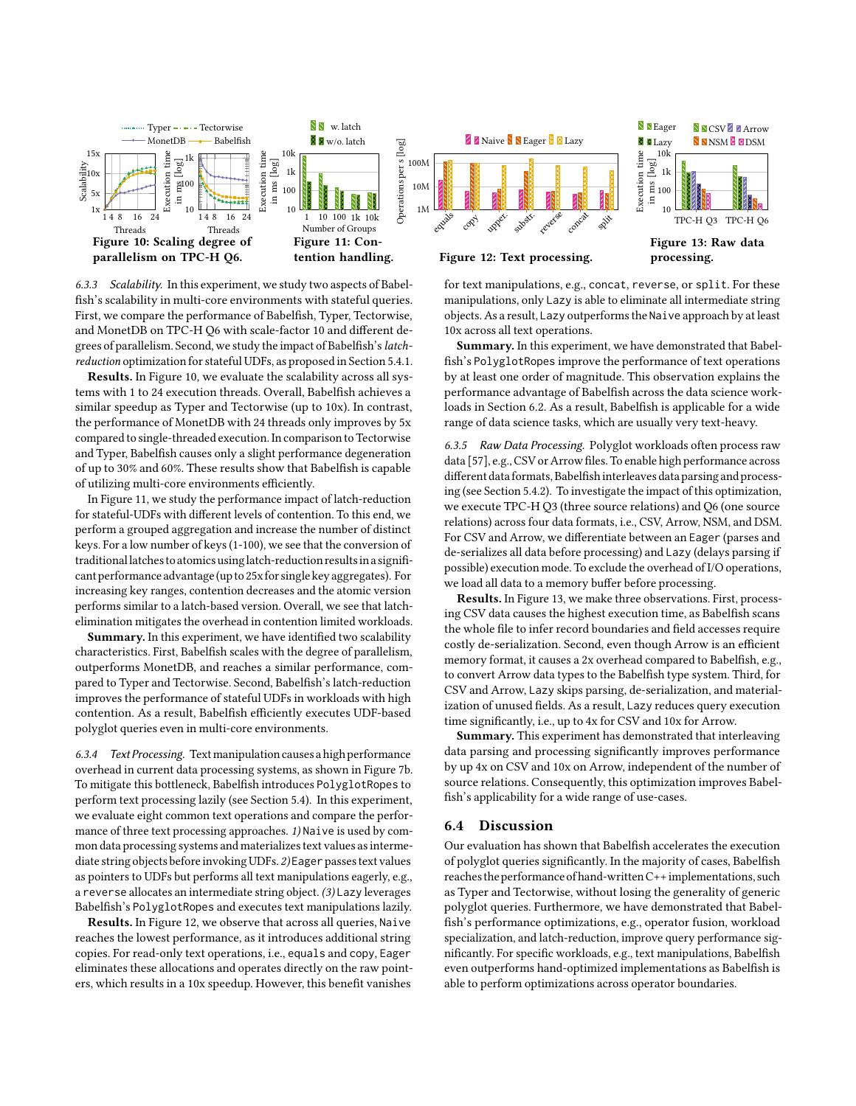<span id="page-10-4"></span>

<span id="page-10-3"></span><span id="page-10-0"></span>6.3.3 Scalability. In this experiment, we study two aspects of Babelfish's scalability in multi-core environments with stateful queries. First, we compare the performance of Babelfish, Typer, Tectorwise, and MonetDB on TPC-H Q6 with scale-factor 10 and different degrees of parallelism. Second, we study the impact of Babelfish's latchreduction optimization for stateful UDFs, as proposed in Section [5.4.1.](#page-7-2)

Results. In Figure [10,](#page-10-4) we evaluate the scalability across all systems with 1 to 24 execution threads. Overall, Babelfish achieves a similar speedup as Typer and Tectorwise (up to 10x). In contrast, the performance of MonetDB with 24 threads only improves by 5x compared to single-threaded execution. In comparison to Tectorwise and Typer, Babelfish causes only a slight performance degeneration of up to 30% and 60%. These results show that Babelfish is capable of utilizing multi-core environments efficiently.

In Figure [11,](#page-10-4) we study the performance impact of latch-reduction for stateful-UDFs with different levels of contention. To this end, we perform a grouped aggregation and increase the number of distinct keys. For a low number of keys (1-100), we see that the conversion of traditionallatches to atomics usinglatch-reduction resultsin a significant performance advantage(up to 25x for single key aggregates). For increasing key ranges, contention decreases and the atomic version performs similar to a latch-based version. Overall, we see that latchelimination mitigates the overhead in contention limited workloads.

Summary. In this experiment, we have identified two scalability characteristics. First, Babelfish scales with the degree of parallelism, outperforms MonetDB, and reaches a similar performance, compared to Typer and Tectorwise. Second, Babelfish's latch-reduction improves the performance of stateful UDFs in workloads with high contention. As a result, Babelfish efficiently executes UDF-based polyglot queries even in multi-core environments.

<span id="page-10-1"></span>6.3.4 Text Processing. Textmanipulation causes a high performance overhead in current data processing systems, as shown in Figure [7b](#page-8-3). To mitigate this bottleneck, Babelfish introduces PolyglotRopes to perform text processing lazily (see Section [5.4\)](#page-7-1). In this experiment, we evaluate eight common text operations and compare the performance of three text processing approaches. 1) Naive is used by common data processing systems and materializes text values as intermediate string objects before invoking UDFs. 2) Eager passes text values as pointers to UDFs but performs all text manipulations eagerly, e.g., a reverse allocates an intermediate string object. (3) Lazy leverages Babelfish's PolyglotRopes and executes text manipulations lazily.

Results. In Figure [12,](#page-10-4) we observe that across all queries, Naive reaches the lowest performance, as it introduces additional string copies. For read-only text operations, i.e., equals and copy, Eager eliminates these allocations and operates directly on the raw pointers, which results in a 10x speedup. However, this benefit vanishes



tention handling. Figure 12: Text processing.

processing.

for text manipulations, e.g., concat, reverse, or split. For these manipulations, only Lazy is able to eliminate all intermediate string objects. As a result, Lazy outperforms the Naive approach by at least 10x across all text operations.

Summary. In this experiment, we have demonstrated that Babelfish's PolyglotRopes improve the performance of text operations by at least one order of magnitude. This observation explains the performance advantage of Babelfish across the data science workloads in Section [6.2.](#page-7-5) As a result, Babelfish is applicable for a wide range of data science tasks, which are usually very text-heavy.

<span id="page-10-2"></span>6.3.5 Raw Data Processing. Polyglot workloads often process raw data [\[57\]](#page-12-42), e.g., CSV or Arrow files. To enable high performance across different data formats, Babelfish interleaves data parsing and processing (see Section [5.4.2\)](#page-7-3). To investigate the impact of this optimization, we execute TPC-H Q3 (three source relations) and Q6 (one source relations) across four data formats, i.e., CSV, Arrow, NSM, and DSM. For CSV and Arrow, we differentiate between an Eager (parses and de-serializes all data before processing) and Lazy (delays parsing if possible) execution mode. To exclude the overhead of I/O operations, we load all data to a memory buffer before processing.

Results. In Figure [13,](#page-10-4) we make three observations. First, processing CSV data causes the highest execution time, as Babelfish scans the whole file to infer record boundaries and field accesses require costly de-serialization. Second, even though Arrow is an efficient memory format, it causes a 2x overhead compared to Babelfish, e.g., to convert Arrow data types to the Babelfish type system. Third, for CSV and Arrow, Lazy skips parsing, de-serialization, and materialization of unused fields. As a result, Lazy reduces query execution time significantly, i.e., up to 4x for CSV and 10x for Arrow.

Summary. This experiment has demonstrated that interleaving data parsing and processing significantly improves performance by up 4x on CSV and 10x on Arrow, independent of the number of source relations. Consequently, this optimization improves Babelfish's applicability for a wide range of use-cases.

## 6.4 Discussion

Our evaluation has shown that Babelfish accelerates the execution of polyglot queries significantly. In the majority of cases, Babelfish reaches the performance of hand-writtenC++implementations, such as Typer and Tectorwise, without losing the generality of generic polyglot queries. Furthermore, we have demonstrated that Babelfish's performance optimizations, e.g., operator fusion, workload specialization, and latch-reduction, improve query performance significantly. For specific workloads, e.g., text manipulations, Babelfish even outperforms hand-optimized implementations as Babelfish is able to perform optimizations across operator boundaries.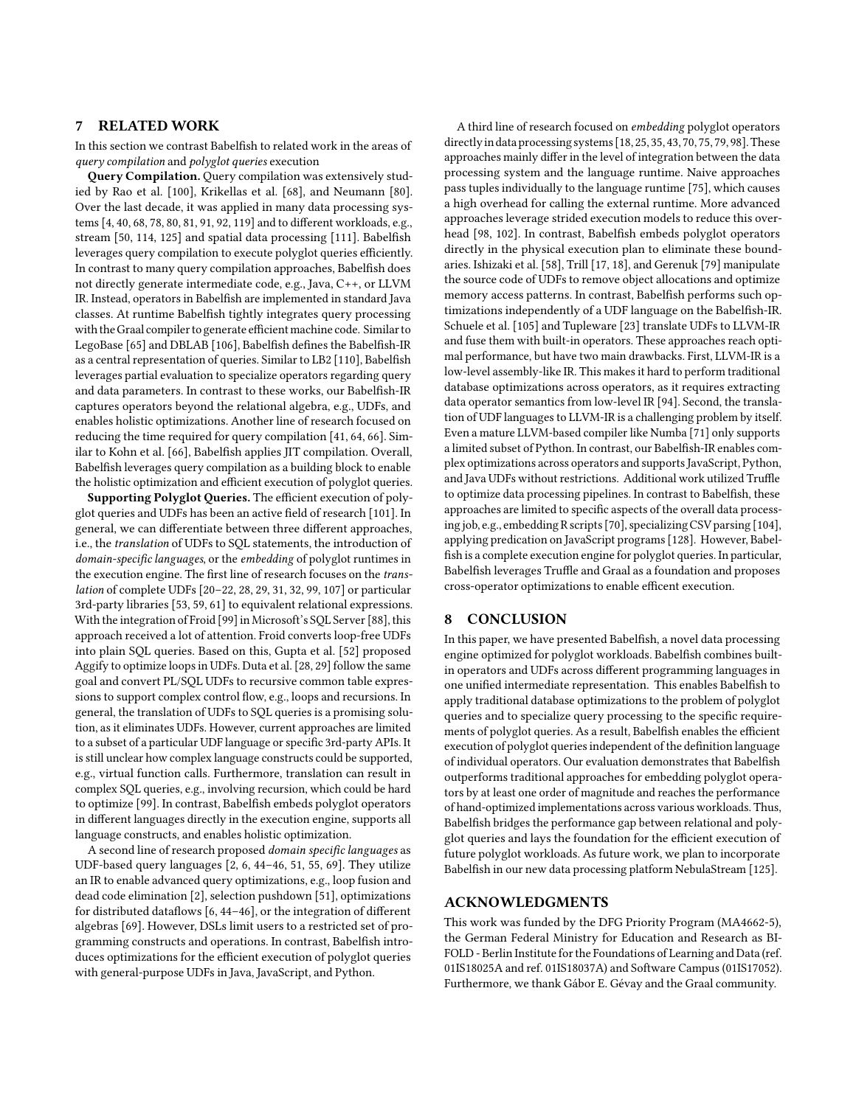# <span id="page-11-0"></span>7 RELATED WORK

In this section we contrast Babelfish to related work in the areas of query compilation and polyglot queries execution

Query Compilation. Query compilation was extensively studied by Rao et al. [\[100\]](#page-13-45), Krikellas et al. [\[68\]](#page-13-46), and Neumann [\[80\]](#page-13-19). Over the last decade, it was applied in many data processing systems [\[4,](#page-12-48) [40,](#page-12-49) [68,](#page-13-46) [78,](#page-13-47) [80,](#page-13-19) [81,](#page-13-23) [91,](#page-13-48) [92,](#page-13-24) [119\]](#page-13-49) and to different workloads, e.g., stream [\[50,](#page-12-34) [114,](#page-13-50) [125\]](#page-13-51) and spatial data processing [\[111\]](#page-13-52). Babelfish leverages query compilation to execute polyglot queries efficiently. In contrast to many query compilation approaches, Babelfish does not directly generate intermediate code, e.g., Java, C++, or LLVM IR. Instead, operators in Babelfish are implemented in standard Java classes. At runtime Babelfish tightly integrates query processing with the Graal compiler to generate efficient machine code. Similar to LegoBase [\[65\]](#page-13-53) and DBLAB [\[106\]](#page-13-44), Babelfish defines the Babelfish-IR as a central representation of queries. Similar to LB2 [\[110\]](#page-13-43), Babelfish leverages partial evaluation to specialize operators regarding query and data parameters. In contrast to these works, our Babelfish-IR captures operators beyond the relational algebra, e.g., UDFs, and enables holistic optimizations. Another line of research focused on reducing the time required for query compilation [\[41,](#page-12-50) [64,](#page-13-54) [66\]](#page-13-55). Similar to Kohn et al. [\[66\]](#page-13-55), Babelfish applies JIT compilation. Overall, Babelfish leverages query compilation as a building block to enable the holistic optimization and efficient execution of polyglot queries.

Supporting Polyglot Queries. The efficient execution of polyglot queries and UDFs has been an active field of research [\[101\]](#page-13-56). In general, we can differentiate between three different approaches, i.e., the translation of UDFs to SQL statements, the introduction of domain-specific languages, or the embedding of polyglot runtimes in the execution engine. The first line of research focuses on the translation of complete UDFs [\[20–](#page-12-51)[22,](#page-12-8) [28,](#page-12-9) [29,](#page-12-10) [31,](#page-12-52) [32,](#page-12-11) [99,](#page-13-9) [107\]](#page-13-10) or particular 3rd-party libraries [\[53,](#page-12-13) [59,](#page-12-14) [61\]](#page-12-53) to equivalent relational expressions. With the integration of Froid [\[99\]](#page-13-9) in Microsoft's SQL Server [\[88\]](#page-13-57), this approach received a lot of attention. Froid converts loop-free UDFs into plain SQL queries. Based on this, Gupta et al. [\[52\]](#page-12-12) proposed Aggify to optimize loops in UDFs. Duta et al. [\[28,](#page-12-9) [29\]](#page-12-10) follow the same goal and convert PL/SQL UDFs to recursive common table expressions to support complex control flow, e.g., loops and recursions. In general, the translation of UDFs to SQL queries is a promising solution, as it eliminates UDFs. However, current approaches are limited to a subset of a particular UDF language or specific 3rd-party APIs. It is still unclear how complex language constructs could be supported, e.g., virtual function calls. Furthermore, translation can result in complex SQL queries, e.g., involving recursion, which could be hard to optimize [\[99\]](#page-13-9). In contrast, Babelfish embeds polyglot operators in different languages directly in the execution engine, supports all language constructs, and enables holistic optimization.

A second line of research proposed domain specific languages as UDF-based query languages [\[2,](#page-12-15) [6,](#page-12-16) [44](#page-12-54)[–46,](#page-12-55) [51,](#page-12-56) [55,](#page-12-18) [69\]](#page-13-58). They utilize an IR to enable advanced query optimizations, e.g., loop fusion and dead code elimination [\[2\]](#page-12-15), selection pushdown [\[51\]](#page-12-56), optimizations for distributed dataflows [\[6,](#page-12-16) [44–](#page-12-54)[46\]](#page-12-55), or the integration of different algebras [\[69\]](#page-13-58). However, DSLs limit users to a restricted set of programming constructs and operations. In contrast, Babelfish introduces optimizations for the efficient execution of polyglot queries with general-purpose UDFs in Java, JavaScript, and Python.

A third line of research focused on embedding polyglot operators directly in data processing systems [\[18,](#page-12-57) [25,](#page-12-20) [35,](#page-12-58) [43,](#page-12-25) [70,](#page-13-11) [75,](#page-13-16) [79,](#page-13-59) [98\]](#page-13-12). These approaches mainly differ in the level of integration between the data processing system and the language runtime. Naive approaches pass tuples individually to the language runtime [\[75\]](#page-13-16), which causes a high overhead for calling the external runtime. More advanced approaches leverage strided execution models to reduce this overhead [\[98,](#page-13-12) [102\]](#page-13-3). In contrast, Babelfish embeds polyglot operators directly in the physical execution plan to eliminate these boundaries. Ishizaki et al. [\[58\]](#page-12-22), Trill [\[17,](#page-12-19) [18\]](#page-12-57), and Gerenuk [\[79\]](#page-13-59) manipulate the source code of UDFs to remove object allocations and optimize memory access patterns. In contrast, Babelfish performs such optimizations independently of a UDF language on the Babelfish-IR. Schuele et al. [\[105\]](#page-13-60) and Tupleware [\[23\]](#page-12-59) translate UDFs to LLVM-IR and fuse them with built-in operators. These approaches reach optimal performance, but have two main drawbacks. First, LLVM-IR is a low-level assembly-like IR. This makes it hard to perform traditional database optimizations across operators, as it requires extracting data operator semantics from low-level IR [\[94\]](#page-13-61). Second, the translation of UDF languages to LLVM-IR is a challenging problem by itself. Even a mature LLVM-based compiler like Numba [\[71\]](#page-13-62) only supports a limited subset of Python. In contrast, our Babelfish-IR enables complex optimizations across operators and supports JavaScript, Python, and Java UDFs without restrictions. Additional work utilized Truffle to optimize data processing pipelines. In contrast to Babelfish, these approaches are limited to specific aspects of the overall data processing job, e.g., embedding R scripts [\[70\]](#page-13-11), specializing CSV parsing [\[104\]](#page-13-63), applying predication on JavaScript programs [\[128\]](#page-14-1). However, Babelfish is a complete execution engine for polyglot queries. In particular, Babelfish leverages Truffle and Graal as a foundation and proposes cross-operator optimizations to enable efficent execution.

### <span id="page-11-1"></span>8 CONCLUSION

In this paper, we have presented Babelfish, a novel data processing engine optimized for polyglot workloads. Babelfish combines builtin operators and UDFs across different programming languages in one unified intermediate representation. This enables Babelfish to apply traditional database optimizations to the problem of polyglot queries and to specialize query processing to the specific requirements of polyglot queries. As a result, Babelfish enables the efficient execution of polyglot queries independent of the definition language of individual operators. Our evaluation demonstrates that Babelfish outperforms traditional approaches for embedding polyglot operators by at least one order of magnitude and reaches the performance of hand-optimized implementations across various workloads. Thus, Babelfish bridges the performance gap between relational and polyglot queries and lays the foundation for the efficient execution of future polyglot workloads. As future work, we plan to incorporate Babelfish in our new data processing platform NebulaStream [\[125\]](#page-13-51).

#### ACKNOWLEDGMENTS

This work was funded by the DFG Priority Program (MA4662-5), the German Federal Ministry for Education and Research as BI-FOLD - Berlin Institute for the Foundations of Learning and Data (ref. 01IS18025A and ref. 01IS18037A) and Software Campus (01IS17052). Furthermore, we thank Gábor E. Gévay and the Graal community.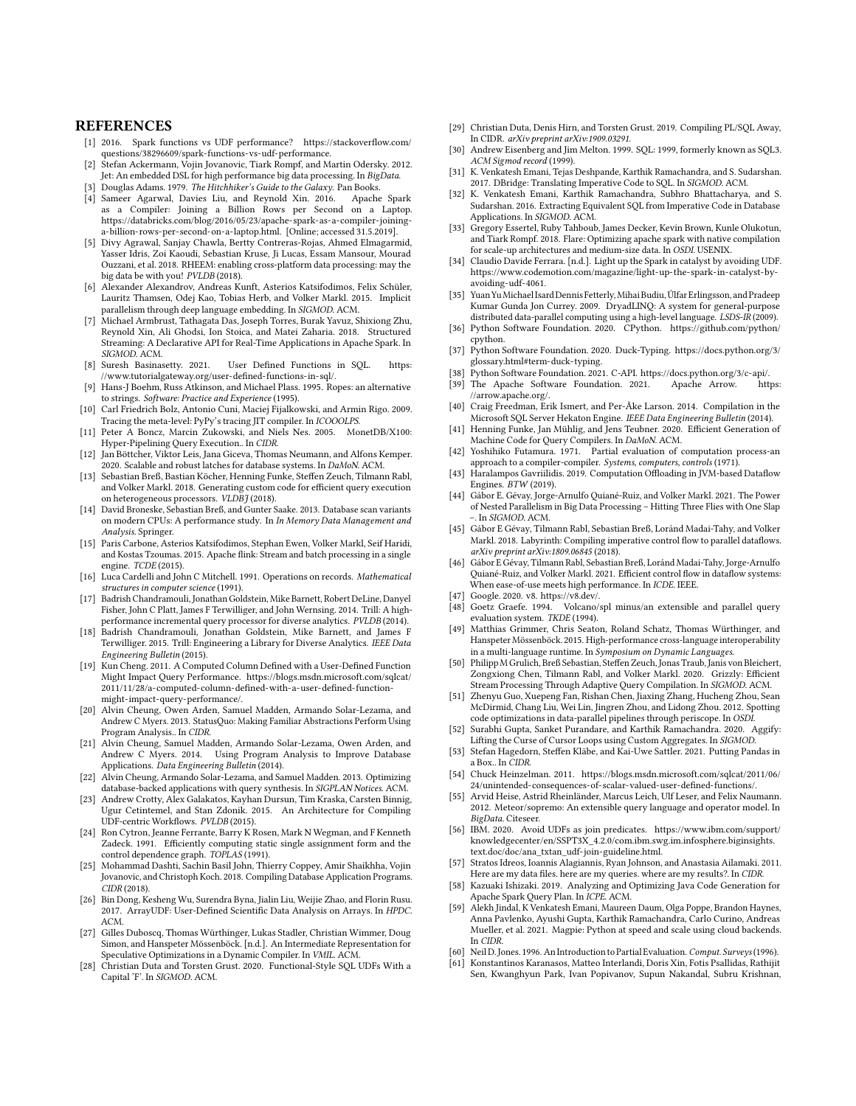#### **REFERENCES**

- <span id="page-12-5"></span>[1] 2016. Spark functions vs UDF performance? [https://stackoverflow.com/](https://stackoverflow.com/questions/38296609/spark-functions-vs-udf-performance) [questions/38296609/spark-functions-vs-udf-performance.](https://stackoverflow.com/questions/38296609/spark-functions-vs-udf-performance)
- <span id="page-12-15"></span>[2] Stefan Ackermann, Vojin Jovanovic, Tiark Rompf, and Martin Odersky. 2012. Jet: An embedded DSL for high performance big data processing. In BigData.
- <span id="page-12-23"></span>Douglas Adams. 1979. The Hitchhiker's Guide to the Galaxy. Pan Books.
- <span id="page-12-48"></span>[4] Sameer Agarwal, Davies Liu, and Reynold Xin. 2016. Apache Spark as a Compiler: Joining a Billion Rows per Second on a Laptop. [https://databricks.com/blog/2016/05/23/apache-spark-as-a-compiler-joining](https://databricks.com/blog/2016/05/23/apache-spark-as-a-compiler-joining-a-billion-rows-per-second-on-a-laptop.html)[a-billion-rows-per-second-on-a-laptop.html.](https://databricks.com/blog/2016/05/23/apache-spark-as-a-compiler-joining-a-billion-rows-per-second-on-a-laptop.html) [Online; accessed 31.5.2019].
- <span id="page-12-0"></span>[5] Divy Agrawal, Sanjay Chawla, Bertty Contreras-Rojas, Ahmed Elmagarmid, Yasser Idris, Zoi Kaoudi, Sebastian Kruse, Ji Lucas, Essam Mansour, Mourad Ouzzani, et al. 2018. RHEEM: enabling cross-platform data processing: may the big data be with you! PVLDB (2018).
- <span id="page-12-16"></span>[6] Alexander Alexandrov, Andreas Kunft, Asterios Katsifodimos, Felix Schüler, Lauritz Thamsen, Odej Kao, Tobias Herb, and Volker Markl. 2015. Implicit parallelism through deep language embedding. In SIGMOD. ACM.
- <span id="page-12-38"></span>[7] Michael Armbrust, Tathagata Das, Joseph Torres, Burak Yavuz, Shixiong Zhu, Reynold Xin, Ali Ghodsi, Ion Stoica, and Matei Zaharia. 2018. Structured Streaming: A Declarative API for Real-Time Applications in Apache Spark. In SIGMOD. ACM.<br>[8] Suresh Basinasetty. 2021.
- <span id="page-12-1"></span>User Defined Functions in SQL. [https:]( https://www.tutorialgateway.org/user-defined-functions-in-sql/) [//www.tutorialgateway.org/user-defined-functions-in-sql/.]( https://www.tutorialgateway.org/user-defined-functions-in-sql/)
- <span id="page-12-40"></span>[9] Hans-J Boehm, Russ Atkinson, and Michael Plass. 1995. Ropes: an alternative to strings. Software: Practice and Experience (1995).
- <span id="page-12-26"></span>[10] Carl Friedrich Bolz, Antonio Cuni, Maciej Fijalkowski, and Armin Rigo. 2009. Tracing the meta-level: PyPy's tracing JIT compiler. In ICOOOLPS.
- <span id="page-12-43"></span>[11] Peter A Boncz, Marcin Zukowski, and Niels Nes. 2005. MonetDB/X100: Hyper-Pipelining Query Execution.. In CIDR.
- <span id="page-12-39"></span>[12] Jan Böttcher, Viktor Leis, Jana Giceva, Thomas Neumann, and Alfons Kemper. 2020. Scalable and robust latches for database systems. In DaMoN. ACM.
- <span id="page-12-33"></span>[13] Sebastian Breß, Bastian Köcher, Henning Funke, Steffen Zeuch, Tilmann Rabl, and Volker Markl. 2018. Generating custom code for efficient query execution on heterogeneous processors. VLDBJ (2018).
- <span id="page-12-37"></span>[14] David Broneske, Sebastian Breß, and Gunter Saake. 2013. Database scan variants on modern CPUs: A performance study. In In Memory Data Management and Analysis. Springer.
- <span id="page-12-2"></span>[15] Paris Carbone, Asterios Katsifodimos, Stephan Ewen, Volker Markl, Seif Haridi, and Kostas Tzoumas. 2015. Apache flink: Stream and batch processing in a single engine. TCDE (2015).
- <span id="page-12-30"></span>[16] Luca Cardelli and John C Mitchell. 1991. Operations on records. Mathematical structures in computer science (1991).
- <span id="page-12-19"></span>[17] Badrish Chandramouli, Jonathan Goldstein, Mike Barnett, Robert DeLine, Danyel Fisher, John C Platt, James F Terwilliger, and John Wernsing. 2014. Trill: A highperformance incremental query processor for diverse analytics. PVLDB (2014).
- <span id="page-12-57"></span>[18] Badrish Chandramouli, Jonathan Goldstein, Mike Barnett, and James F Terwilliger. 2015. Trill: Engineering a Library for Diverse Analytics. IEEE Data Engineering Bulletin (2015).
- <span id="page-12-3"></span>[19] Kun Cheng. 2011. A Computed Column Defined with a User-Defined Function Might Impact Query Performance. [https://blogs.msdn.microsoft.com/sqlcat/](https://blogs.msdn.microsoft.com/sqlcat/2011/11/28/a-computed-column-defined-with-a-user-defined-function-might-impact-query-performance/) [2011/11/28/a-computed-column-defined-with-a-user-defined-function](https://blogs.msdn.microsoft.com/sqlcat/2011/11/28/a-computed-column-defined-with-a-user-defined-function-might-impact-query-performance/)[might-impact-query-performance/.](https://blogs.msdn.microsoft.com/sqlcat/2011/11/28/a-computed-column-defined-with-a-user-defined-function-might-impact-query-performance/)
- <span id="page-12-51"></span>[20] Alvin Cheung, Owen Arden, Samuel Madden, Armando Solar-Lezama, and Andrew C Myers. 2013. StatusQuo: Making Familiar Abstractions Perform Using Program Analysis.. In CIDR.
- [21] Alvin Cheung, Samuel Madden, Armando Solar-Lezama, Owen Arden, and Andrew C Myers. 2014. Using Program Analysis to Improve Database Applications. Data Engineering Bulletin (2014).
- <span id="page-12-8"></span>[22] Alvin Cheung, Armando Solar-Lezama, and Samuel Madden. 2013. Optimizing database-backed applications with query synthesis. In SIGPLAN Notices. ACM.
- <span id="page-12-59"></span>[23] Andrew Crotty, Alex Galakatos, Kayhan Dursun, Tim Kraska, Carsten Binnig, Ugur Cetintemel, and Stan Zdonik. 2015. An Architecture for Compiling UDF-centric Workflows. PVLDB (2015).
- <span id="page-12-29"></span>[24] Ron Cytron, Jeanne Ferrante, Barry K Rosen, Mark N Wegman, and F Kenneth Zadeck. 1991. Efficiently computing static single assignment form and the control dependence graph. TOPLAS (1991).
- <span id="page-12-20"></span>[25] Mohammad Dashti, Sachin Basil John, Thierry Coppey, Amir Shaikhha, Vojin Jovanovic, and Christoph Koch. 2018. Compiling Database Application Programs. CIDR (2018).
- <span id="page-12-21"></span>[26] Bin Dong, Kesheng Wu, Surendra Byna, Jialin Liu, Weijie Zhao, and Florin Rusu. 2017. ArrayUDF: User-Defined Scientific Data Analysis on Arrays. In HPDC. ACM.
- <span id="page-12-27"></span>[27] Gilles Duboscq, Thomas Würthinger, Lukas Stadler, Christian Wimmer, Doug Simon, and Hanspeter Mössenböck. [n.d.]. An Intermediate Representation for Speculative Optimizations in a Dynamic Compiler. In VMIL. ACM.
- <span id="page-12-9"></span>[28] Christian Duta and Torsten Grust. 2020. Functional-Style SQL UDFs With a Capital 'F'. In SIGMOD. ACM.
- <span id="page-12-10"></span>[29] Christian Duta, Denis Hirn, and Torsten Grust. 2019. Compiling PL/SOL Away, In CIDR. arXiv preprint arXiv:1909.03291.
- <span id="page-12-24"></span>[30] Andrew Eisenberg and Jim Melton. 1999. SQL: 1999, formerly known as SQL3. ACM Sigmod record (1999).
- <span id="page-12-52"></span>[31] K. Venkatesh Emani, Tejas Deshpande, Karthik Ramachandra, and S. Sudarshan. 2017. DBridge: Translating Imperative Code to SQL. In SIGMOD. ACM.
- <span id="page-12-11"></span>[32] K. Venkatesh Emani, Karthik Ramachandra, Subhro Bhattacharya, and S. Sudarshan. 2016. Extracting Equivalent SQL from Imperative Code in Database Applications. In SIGMOD. ACM.
- <span id="page-12-44"></span>[33] Gregory Essertel, Ruby Tahboub, James Decker, Kevin Brown, Kunle Olukotun, and Tiark Rompf. 2018. Flare: Optimizing apache spark with native compilation for scale-up architectures and medium-size data. In OSDI. USENIX.
- <span id="page-12-6"></span>[34] Claudio Davide Ferrara. [n.d.]. Light up the Spark in catalyst by avoiding UDF. [https://www.codemotion.com/magazine/light-up-the-spark-in-catalyst-by](https://www.codemotion.com/magazine/light-up-the-spark-in-catalyst-by-avoiding-udf-4061 )[avoiding-udf-4061.](https://www.codemotion.com/magazine/light-up-the-spark-in-catalyst-by-avoiding-udf-4061 )
- <span id="page-12-58"></span>[35] Yuan Yu Michael Isard Dennis Fetterly, Mihai Budiu, Úlfar Erlingsson, and Pradeep Kumar Gunda Jon Currey. 2009. DryadLINQ: A system for general-purpose distributed data-parallel computing using a high-level language. LSDS-IR (2009).
- <span id="page-12-45"></span>[36] Python Software Foundation. 2020. CPython. [https://github.com/python/]( https://github.com/python/cpython) [cpython.]( https://github.com/python/cpython)
- <span id="page-12-32"></span>[37] Python Software Foundation. 2020. Duck-Typing. [https://docs.python.org/3/](https://docs.python.org/3/glossary.html#term-duck-typing) [glossary.html#term-duck-typing.](https://docs.python.org/3/glossary.html#term-duck-typing)
- <span id="page-12-46"></span>[38] Python Software Foundation. 2021. C-API. [https://docs.python.org/3/c-api/.](https://docs.python.org/3/c-api/)
- <span id="page-12-41"></span>[39] The Apache Software Foundation. 2021. Apache Arrow. [https:](https://arrow.apache.org/) [//arrow.apache.org/.](https://arrow.apache.org/)
- <span id="page-12-49"></span>[40] Craig Freedman, Erik Ismert, and Per-Åke Larson. 2014. Compilation in the Microsoft SQL Server Hekaton Engine. IEEE Data Engineering Bulletin (2014).
- <span id="page-12-50"></span>[41] Henning Funke, Jan Mühlig, and Jens Teubner. 2020. Efficient Generation of Machine Code for Query Compilers. In DaMoN. ACM.
- <span id="page-12-35"></span>[42] Yoshihiko Futamura. 1971. Partial evaluation of computation process-an approach to a compiler-compiler. Systems, computers, controls (1971).
- <span id="page-12-25"></span>[43] Haralampos Gavriilidis. 2019. Computation Offloading in JVM-based Dataflow Engines. BTW (2019).
- <span id="page-12-54"></span>[44] Gábor E. Gévay, Jorge-Arnulfo Quiané-Ruiz, and Volker Markl. 2021. The Power of Nested Parallelism in Big Data Processing – Hitting Three Flies with One Slap –. In SIGMOD. ACM.
- <span id="page-12-17"></span>[45] Gábor E Gévay, Tilmann Rabl, Sebastian Breß, Loránd Madai-Tahy, and Volker Markl. 2018. Labyrinth: Compiling imperative control flow to parallel dataflows. arXiv preprint arXiv:1809.06845 (2018).
- <span id="page-12-55"></span>[46] Gábor E Gévay, Tilmann Rabl, Sebastian Breß, Loránd Madai-Tahy, Jorge-Arnulfo Quiané-Ruiz, and Volker Markl. 2021. Efficient control flow in dataflow systems: When ease-of-use meets high performance. In ICDE. IEEE.
- <span id="page-12-47"></span><span id="page-12-28"></span>[47] Google. 2020. v8. [https://v8.dev/.]( https://v8.dev/) [48] Goetz Graefe. 1994. Volcano/spl minus/an extensible and parallel query
- <span id="page-12-31"></span>evaluation system. TKDE (1994). [49] Matthias Grimmer, Chris Seaton, Roland Schatz, Thomas Würthinger, and Hanspeter Mössenböck. 2015. High-performance cross-language interoperability in a multi-language runtime. In Symposium on Dynamic Languages.
- <span id="page-12-34"></span>[50] Philipp M Grulich, Breß Sebastian, Steffen Zeuch, Jonas Traub, Janis von Bleichert, Zongxiong Chen, Tilmann Rabl, and Volker Markl. 2020. Grizzly: Efficient Stream Processing Through Adaptive Query Compilation. In SIGMOD. ACM.
- <span id="page-12-56"></span>[51] Zhenyu Guo, Xuepeng Fan, Rishan Chen, Jiaxing Zhang, Hucheng Zhou, Sean McDirmid, Chang Liu, Wei Lin, Jingren Zhou, and Lidong Zhou. 2012. Spotting code optimizations in data-parallel pipelines through periscope. In OSDI.
- <span id="page-12-12"></span>[52] Surabhi Gupta, Sanket Purandare, and Karthik Ramachandra. 2020. Aggify: Lifting the Curse of Cursor Loops using Custom Aggregates. In SIGMOD.
- <span id="page-12-13"></span>[53] Stefan Hagedorn, Steffen Kläbe, and Kai-Uwe Sattler. 2021. Putting Pandas in a Box.. In CIDR.
- <span id="page-12-4"></span>[54] Chuck Heinzelman. 2011. [https://blogs.msdn.microsoft.com/sqlcat/2011/06/](https://blogs.msdn.microsoft.com/sqlcat/2011/06/24/unintended-consequences-of-scalar-valued-user-defined-functions/) [24/unintended-consequences-of-scalar-valued-user-defined-functions/.](https://blogs.msdn.microsoft.com/sqlcat/2011/06/24/unintended-consequences-of-scalar-valued-user-defined-functions/)
- <span id="page-12-18"></span>Arvid Heise, Astrid Rheinländer, Marcus Leich, Ulf Leser, and Felix Naumann. 2012. Meteor/sopremo: An extensible query language and operator model. In BigData. Citeseer.
- <span id="page-12-7"></span>[56] IBM. 2020. Avoid UDFs as join predicates. [https://www.ibm.com/support/](https://www.ibm.com/support/knowledgecenter/en/SSPT3X_4.2.0/com.ibm.swg.im.infosphere.biginsights.text.doc/doc/ana_txtan_udf-join-guideline.html) [knowledgecenter/en/SSPT3X\\_4.2.0/com.ibm.swg.im.infosphere.biginsights.](https://www.ibm.com/support/knowledgecenter/en/SSPT3X_4.2.0/com.ibm.swg.im.infosphere.biginsights.text.doc/doc/ana_txtan_udf-join-guideline.html) [text.doc/doc/ana\\_txtan\\_udf-join-guideline.html.](https://www.ibm.com/support/knowledgecenter/en/SSPT3X_4.2.0/com.ibm.swg.im.infosphere.biginsights.text.doc/doc/ana_txtan_udf-join-guideline.html)
- <span id="page-12-42"></span>[57] Stratos Idreos, Ioannis Alagiannis, Ryan Johnson, and Anastasia Ailamaki. 2011. Here are my data files. here are my queries. where are my results?. In CIDR.
- <span id="page-12-22"></span>[58] Kazuaki Ishizaki. 2019. Analyzing and Optimizing Java Code Generation for Apache Spark Query Plan. In ICPE. ACM.
- <span id="page-12-14"></span>[59] Alekh Jindal, K Venkatesh Emani, Maureen Daum, Olga Poppe, Brandon Haynes, Anna Pavlenko, Ayushi Gupta, Karthik Ramachandra, Carlo Curino, Andreas Mueller, et al. 2021. Magpie: Python at speed and scale using cloud backends. In CIDR.
- <span id="page-12-36"></span>[60] Neil D. Jones. 1996. An Introduction to Partial Evaluation. Comput. Surveys (1996).
- <span id="page-12-53"></span>[61] Konstantinos Karanasos, Matteo Interlandi, Doris Xin, Fotis Psallidas, Rathijit Sen, Kwanghyun Park, Ivan Popivanov, Supun Nakandal, Subru Krishnan,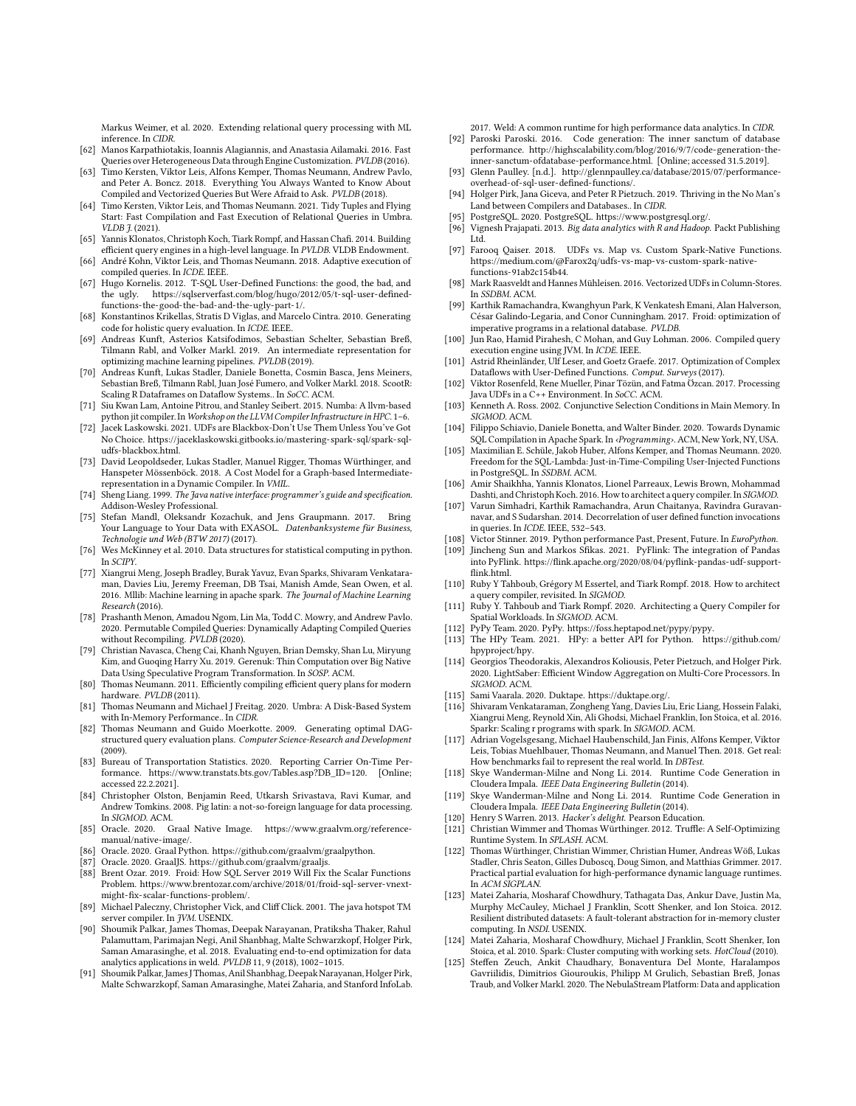Markus Weimer, et al. 2020. Extending relational query processing with ML inference. In CIDR.

- <span id="page-13-31"></span>[62] Manos Karpathiotakis, Ioannis Alagiannis, and Anastasia Ailamaki. 2016. Fast Queries over Heterogeneous Data through Engine Customization. PVLDB (2016).
- <span id="page-13-13"></span>[63] Timo Kersten, Viktor Leis, Alfons Kemper, Thomas Neumann, Andrew Pavlo, and Peter A. Boncz. 2018. Everything You Always Wanted to Know About Compiled and Vectorized Queries But Were Afraid to Ask. PVLDB (2018).
- <span id="page-13-54"></span>[64] Timo Kersten, Viktor Leis, and Thomas Neumann. 2021. Tidy Tuples and Flying Start: Fast Compilation and Fast Execution of Relational Queries in Umbra. VLDB J. (2021).
- <span id="page-13-53"></span>[65] Yannis Klonatos, Christoph Koch, Tiark Rompf, and Hassan Chafi. 2014. Building efficient query engines in a high-level language. In PVLDB. VLDB Endowment.
- <span id="page-13-55"></span>[66] André Kohn, Viktor Leis, and Thomas Neumann. 2018. Adaptive execution of compiled queries. In ICDE. IEEE.
- <span id="page-13-5"></span>[67] Hugo Kornelis. 2012. T-SQL User-Defined Functions: the good, the bad, and the ugly. [https://sqlserverfast.com/blog/hugo/2012/05/t-sql-user-defined]( https://sqlserverfast.com/blog/hugo/2012/05/t-sql-user-defined-functions-the-good-the-bad-and-the-ugly-part-1/)[functions-the-good-the-bad-and-the-ugly-part-1/.]( https://sqlserverfast.com/blog/hugo/2012/05/t-sql-user-defined-functions-the-good-the-bad-and-the-ugly-part-1/)
- <span id="page-13-46"></span>[68] Konstantinos Krikellas, Stratis D Viglas, and Marcelo Cintra. 2010. Generating code for holistic query evaluation. In ICDE. IEEE.
- <span id="page-13-58"></span>[69] Andreas Kunft, Asterios Katsifodimos, Sebastian Schelter, Sebastian Breß, Tilmann Rabl, and Volker Markl. 2019. An intermediate representation for optimizing machine learning pipelines. PVLDB (2019).
- <span id="page-13-11"></span>[70] Andreas Kunft, Lukas Stadler, Daniele Bonetta, Cosmin Basca, Jens Meiners, Sebastian Breß, Tilmann Rabl, Juan José Fumero, and Volker Markl. 2018. ScootR: Scaling R Dataframes on Dataflow Systems.. In SoCC. ACM.
- <span id="page-13-62"></span>[71] Siu Kwan Lam, Antoine Pitrou, and Stanley Seibert. 2015. Numba: A llvm-based python jit compiler. In Workshop on the LLVM Compiler Infrastructure in HPC. 1-6.
- <span id="page-13-7"></span>[72] Jacek Laskowski. 2021. UDFs are Blackbox-Don't Use Them Unless You've Got No Choice. [https://jaceklaskowski.gitbooks.io/mastering-spark-sql/spark-sql](https://jaceklaskowski.gitbooks.io/mastering-spark-sql/spark-sql-udfs-blackbox.html)[udfs-blackbox.html.](https://jaceklaskowski.gitbooks.io/mastering-spark-sql/spark-sql-udfs-blackbox.html)
- <span id="page-13-27"></span>[73] David Leopoldseder, Lukas Stadler, Manuel Rigger, Thomas Würthinger, and Hanspeter Mössenböck. 2018. A Cost Model for a Graph-based Intermediaterepresentation in a Dynamic Compiler. In VMIL.
- <span id="page-13-18"></span>[74] Sheng Liang. 1999. The Java native interface: programmer's guide and specification. Addison-Wesley Professional.
- <span id="page-13-16"></span>[75] Stefan Mandl, Oleksandr Kozachuk, and Jens Graupmann. 2017. Bring Your Language to Your Data with EXASOL. Datenbanksysteme für Business, Technologie und Web (BTW 2017) (2017).
- <span id="page-13-35"></span>[76] Wes McKinney et al. 2010. Data structures for statistical computing in python. In SCIPY.
- <span id="page-13-1"></span>[77] Xiangrui Meng, Joseph Bradley, Burak Yavuz, Evan Sparks, Shivaram Venkataraman, Davies Liu, Jeremy Freeman, DB Tsai, Manish Amde, Sean Owen, et al. 2016. Mllib: Machine learning in apache spark. The Journal of Machine Learning Research (2016).
- <span id="page-13-47"></span>[78] Prashanth Menon, Amadou Ngom, Lin Ma, Todd C. Mowry, and Andrew Pavlo. 2020. Permutable Compiled Queries: Dynamically Adapting Compiled Queries without Recompiling. PVLDB (2020).
- <span id="page-13-59"></span>[79] Christian Navasca, Cheng Cai, Khanh Nguyen, Brian Demsky, Shan Lu, Miryung Kim, and Guoqing Harry Xu. 2019. Gerenuk: Thin Computation over Big Native Data Using Speculative Program Transformation. In SOSP. ACM.
- <span id="page-13-19"></span>[80] Thomas Neumann. 2011. Efficiently compiling efficient query plans for modern hardware. PVLDB (2011).
- <span id="page-13-23"></span>[81] Thomas Neumann and Michael J Freitag. 2020. Umbra: A Disk-Based System with In-Memory Performance.. In CIDR.
- <span id="page-13-14"></span>[82] Thomas Neumann and Guido Moerkotte. 2009. Generating optimal DAGstructured query evaluation plans. Computer Science-Research and Development (2009).
- <span id="page-13-32"></span>[83] Bureau of Transportation Statistics. 2020. Reporting Carrier On-Time Performance. [https://www.transtats.bts.gov/Tables.asp?DB\\_ID=120.](https://www.transtats.bts.gov/Tables.asp?DB_ID=120) [Online; accessed 22.2.2021].
- <span id="page-13-0"></span>[84] Christopher Olston, Benjamin Reed, Utkarsh Srivastava, Ravi Kumar, and Andrew Tomkins. 2008. Pig latin: a not-so-foreign language for data processing. In SIGMOD. ACM.
- <span id="page-13-42"></span>[85] Oracle. 2020. Graal Native Image. [https://www.graalvm.org/reference](https://www.graalvm.org/reference-manual/native-image/)[manual/native-image/.](https://www.graalvm.org/reference-manual/native-image/)
- <span id="page-13-22"></span>[86] Oracle. 2020. Graal Python. [https://github.com/graalvm/graalpython.]( https://github.com/graalvm/graalpython)
- <span id="page-13-21"></span>[87] Oracle. 2020. GraalJS. [https://github.com/graalvm/graaljs.]( https://github.com/graalvm/graaljs)
- <span id="page-13-57"></span>[88] Brent Ozar. 2019. Froid: How SQL Server 2019 Will Fix the Scalar Functions Problem. [https://www.brentozar.com/archive/2018/01/froid-sql-server-vnext]( https://www.brentozar.com/archive/2018/01/froid-sql-server-vnext-might-fix-scalar-functions-problem/)[might-fix-scalar-functions-problem/.]( https://www.brentozar.com/archive/2018/01/froid-sql-server-vnext-might-fix-scalar-functions-problem/)
- <span id="page-13-28"></span>[89] Michael Paleczny, Christopher Vick, and Cliff Click. 2001. The java hotspot TM server compiler. In *JVM*. USENIX.
- <span id="page-13-37"></span>[90] Shoumik Palkar, James Thomas, Deepak Narayanan, Pratiksha Thaker, Rahul Palamuttam, Parimajan Negi, Anil Shanbhag, Malte Schwarzkopf, Holger Pirk, Saman Amarasinghe, et al. 2018. Evaluating end-to-end optimization for data analytics applications in weld. PVLDB 11, 9 (2018), 1002–1015.
- <span id="page-13-48"></span>[91] Shoumik Palkar, James J Thomas,Anil Shanbhag, DeepakNarayanan, Holger Pirk, Malte Schwarzkopf, Saman Amarasinghe, Matei Zaharia, and Stanford InfoLab.

<span id="page-13-24"></span>2017. Weld: A common runtime for high performance data analytics. In CIDR. [92] Paroski Paroski. 2016. Code generation: The inner sanctum of database

- performance. [http://highscalability.com/blog/2016/9/7/code-generation-the](http://highscalability. com/blog/2016/9/7/code-generation-the-inner-sanctum-ofdatabase-performance. html)[inner-sanctum-ofdatabase-performance.html.](http://highscalability. com/blog/2016/9/7/code-generation-the-inner-sanctum-ofdatabase-performance. html) [Online; accessed 31.5.2019].
- <span id="page-13-6"></span>[93] Glenn Paulley. [n.d.]. [http://glennpaulley.ca/database/2015/07/performance](http://glennpaulley.ca/database/2015/07/performance-overhead-of-sql-user-defined-functions/)[overhead-of-sql-user-defined-functions/.](http://glennpaulley.ca/database/2015/07/performance-overhead-of-sql-user-defined-functions/)
- <span id="page-13-61"></span>[94] Holger Pirk, Jana Giceva, and Peter R Pietzuch. 2019. Thriving in the No Man's Land between Compilers and Databases.. In CIDR.
- <span id="page-13-15"></span>[95] PostgreSQL. 2020. PostgreSQL. [https://www.postgresql.org/.]( https://www.postgresql.org/)
- <span id="page-13-33"></span>[96] Vignesh Prajapati. 2013. Big data analytics with R and Hadoop. Packt Publishing Ltd.
- <span id="page-13-8"></span>[97] Farooq Qaiser. 2018. UDFs vs. Map vs. Custom Spark-Native Functions. [https://medium.com/@Farox2q/udfs-vs-map-vs-custom-spark-native](https://medium.com/@Farox2q/udfs-vs-map-vs-custom-spark-native-functions-91ab2c154b44)[functions-91ab2c154b44.](https://medium.com/@Farox2q/udfs-vs-map-vs-custom-spark-native-functions-91ab2c154b44)
- <span id="page-13-12"></span>[98] Mark Raasveldt and Hannes Mühleisen. 2016. Vectorized UDFs in Column-Stores. In SSDBM. ACM.
- <span id="page-13-9"></span>[99] Karthik Ramachandra, Kwanghyun Park, K Venkatesh Emani, Alan Halverson, César Galindo-Legaria, and Conor Cunningham. 2017. Froid: optimization of imperative programs in a relational database. PVLDB.
- <span id="page-13-45"></span>[100] Jun Rao, Hamid Pirahesh, C Mohan, and Guy Lohman. 2006. Compiled query execution engine using JVM. In ICDE. IEEE.
- <span id="page-13-56"></span>[101] Astrid Rheinländer, Ulf Leser, and Goetz Graefe. 2017. Optimization of Complex Dataflows with User-Defined Functions. Comput. Surveys (2017).
- <span id="page-13-3"></span>[102] Viktor Rosenfeld, Rene Mueller, Pinar Tözün, and Fatma Özcan. 2017. Processing Java UDFs in a C++ Environment. In SoCC. ACM.
- <span id="page-13-29"></span>[103] Kenneth A. Ross. 2002. Conjunctive Selection Conditions in Main Memory. In SIGMOD. ACM.
- <span id="page-13-63"></span>[104] Filippo Schiavio, Daniele Bonetta, and Walter Binder. 2020. Towards Dynamic SQL Compilation in Apache Spark. In ‹Programming›. ACM, New York, NY, USA.
- <span id="page-13-60"></span>[105] Maximilian E. Schüle, Jakob Huber, Alfons Kemper, and Thomas Neumann. 2020. Freedom for the SQL-Lambda: Just-in-Time-Compiling User-Injected Functions in PostgreSQL. In SSDBM. ACM.
- <span id="page-13-44"></span>[106] Amir Shaikhha, Yannis Klonatos, Lionel Parreaux, Lewis Brown, Mohammad Dashti, and Christoph Koch. 2016. How to architect a query compiler. In SIGMOD.
- <span id="page-13-10"></span>[107] Varun Simhadri, Karthik Ramachandra, Arun Chaitanya, Ravindra Guravannavar, and S Sudarshan. 2014. Decorrelation of user defined function invocations in queries. In ICDE. IEEE, 532–543.
- <span id="page-13-39"></span>[108] Victor Stinner. 2019. Python performance Past, Present, Future. In EuroPython.
- <span id="page-13-2"></span>[109] Jincheng Sun and Markos Sfikas. 2021. PyFlink: The integration of Pandas into PyFlink. [https://flink.apache.org/2020/08/04/pyflink-pandas-udf-support]( https://flink.apache.org/2020/08/04/pyflink-pandas-udf-support-flink.html)flink html
- <span id="page-13-43"></span>[110] Ruby Y Tahboub, Grégory M Essertel, and Tiark Rompf. 2018. How to architect a query compiler, revisited. In SIGMOD.
- <span id="page-13-52"></span>[111] Ruby Y. Tahboub and Tiark Rompf. 2020. Architecting a Query Compiler for Spatial Workloads. In SIGMOD. ACM.
- <span id="page-13-38"></span>[112] PyPy Team. 2020. PyPy. [https://foss.heptapod.net/pypy/pypy.]( https://foss.heptapod.net/pypy/pypy)
- <span id="page-13-40"></span>[113] The HPy Team. 2021. HPy: a better API for Python. [https://github.com/](https://github.com/hpyproject/hpy) [hpyproject/hpy.](https://github.com/hpyproject/hpy)
- <span id="page-13-50"></span>[114] Georgios Theodorakis, Alexandros Koliousis, Peter Pietzuch, and Holger Pirk. 2020. LightSaber: Efficient Window Aggregation on Multi-Core Processors. In SIGMOD. ACM.
- <span id="page-13-41"></span>[115] Sami Vaarala. 2020. Duktape. [https://duktape.org/.](https://duktape.org/)
- <span id="page-13-34"></span>[116] Shivaram Venkataraman, Zongheng Yang, Davies Liu, Eric Liang, Hossein Falaki, Xiangrui Meng, Reynold Xin, Ali Ghodsi, Michael Franklin, Ion Stoica, et al. 2016. Sparkr: Scaling r programs with spark. In SIGMOD. ACM.
- <span id="page-13-30"></span>[117] Adrian Vogelsgesang, Michael Haubenschild, Jan Finis, Alfons Kemper, Viktor Leis, Tobias Muehlbauer, Thomas Neumann, and Manuel Then. 2018. Get real: How benchmarks fail to represent the real world. In DBTest.
- <span id="page-13-17"></span>[118] Skye Wanderman-Milne and Nong Li. 2014. Runtime Code Generation in Cloudera Impala. IEEE Data Engineering Bulletin (2014).
- <span id="page-13-49"></span>[119] Skye Wanderman-Milne and Nong Li. 2014. Runtime Code Generation in Cloudera Impala. IEEE Data Engineering Bulletin (2014).
- <span id="page-13-26"></span>[120] Henry S Warren. 2013. Hacker's delight. Pearson Education.
- <span id="page-13-20"></span>[121] Christian Wimmer and Thomas Würthinger. 2012. Truffle: A Self-Optimizing Runtime System. In SPLASH. ACM.
- <span id="page-13-25"></span>[122] Thomas Würthinger, Christian Wimmer, Christian Humer, Andreas Wöß, Lukas Stadler, Chris Seaton, Gilles Duboscq, Doug Simon, and Matthias Grimmer. 2017. Practical partial evaluation for high-performance dynamic language runtimes. In ACM SIGPLAN.
- <span id="page-13-4"></span>[123] Matei Zaharia, Mosharaf Chowdhury, Tathagata Das, Ankur Dave, Justin Ma, Murphy McCauley, Michael J Franklin, Scott Shenker, and Ion Stoica. 2012. Resilient distributed datasets: A fault-tolerant abstraction for in-memory cluster computing. In NSDI. USENIX.
- <span id="page-13-36"></span>[124] Matei Zaharia, Mosharaf Chowdhury, Michael J Franklin, Scott Shenker, Ion Stoica, et al. 2010. Spark: Cluster computing with working sets. HotCloud (2010).
- <span id="page-13-51"></span>[125] Steffen Zeuch, Ankit Chaudhary, Bonaventura Del Monte, Haralampos Gavriilidis, Dimitrios Giouroukis, Philipp M Grulich, Sebastian Breß, Jonas Traub, and Volker Markl. 2020. The NebulaStream Platform: Data and application